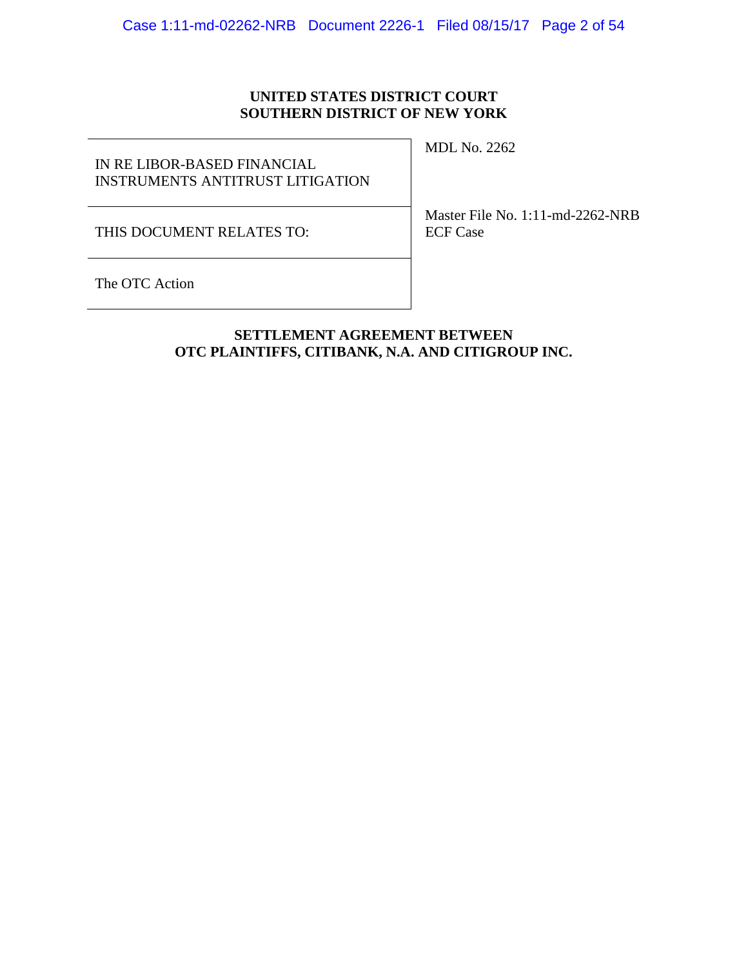# **UNITED STATES DISTRICT COURT SOUTHERN DISTRICT OF NEW YORK**

# IN RE LIBOR-BASED FINANCIAL INSTRUMENTS ANTITRUST LITIGATION

MDL No. 2262

THIS DOCUMENT RELATES TO:

Master File No. 1:11-md-2262-NRB ECF Case

The OTC Action

# **SETTLEMENT AGREEMENT BETWEEN OTC PLAINTIFFS, CITIBANK, N.A. AND CITIGROUP INC.**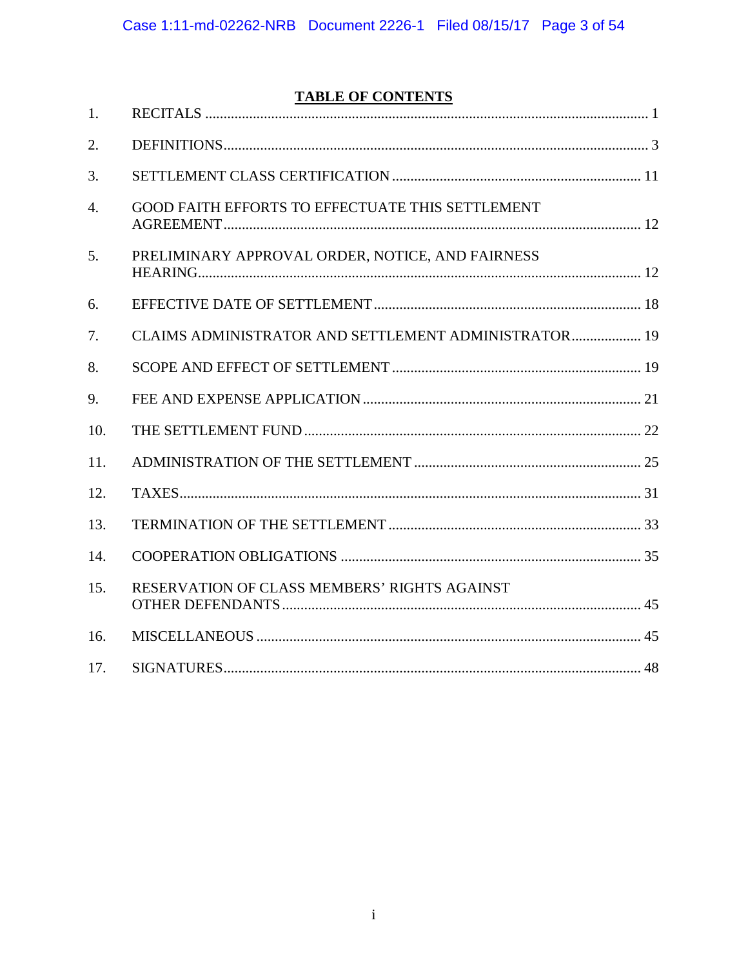# **TABLE OF CONTENTS**

| 1.               |                                                      |  |
|------------------|------------------------------------------------------|--|
| 2.               |                                                      |  |
| 3.               |                                                      |  |
| $\overline{4}$ . | GOOD FAITH EFFORTS TO EFFECTUATE THIS SETTLEMENT     |  |
| 5.               | PRELIMINARY APPROVAL ORDER, NOTICE, AND FAIRNESS     |  |
| 6.               |                                                      |  |
| 7.               | CLAIMS ADMINISTRATOR AND SETTLEMENT ADMINISTRATOR 19 |  |
| 8.               |                                                      |  |
| 9.               |                                                      |  |
| 10.              |                                                      |  |
| 11.              |                                                      |  |
| 12.              |                                                      |  |
| 13.              |                                                      |  |
| 14.              |                                                      |  |
| 15.              | RESERVATION OF CLASS MEMBERS' RIGHTS AGAINST         |  |
| 16.              |                                                      |  |
| 17.              |                                                      |  |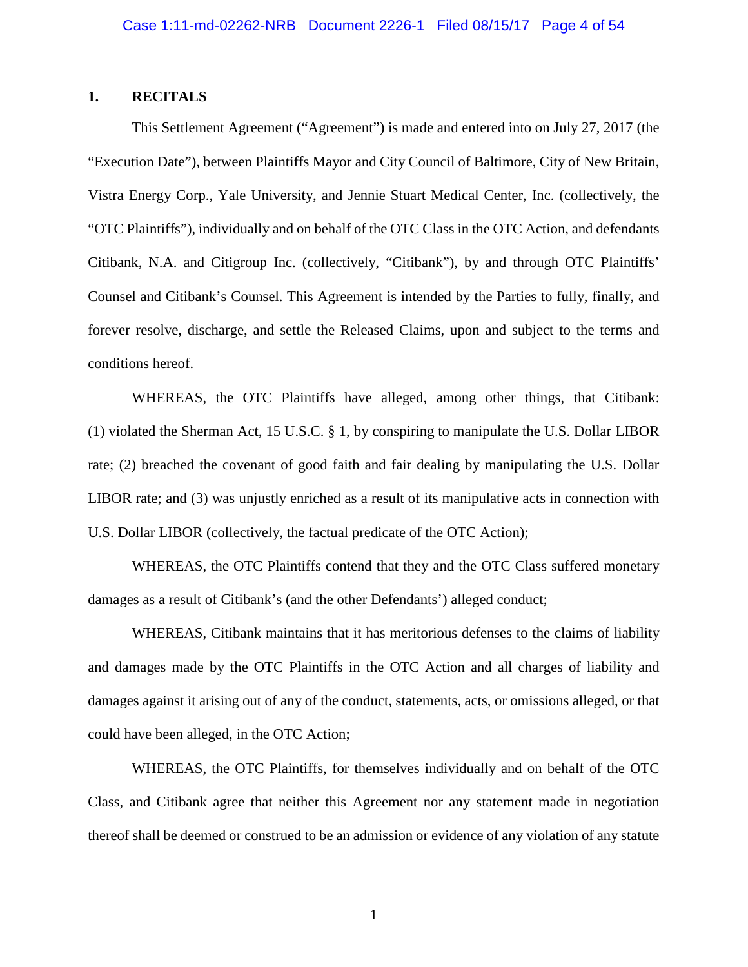### <span id="page-2-0"></span>**1. RECITALS**

This Settlement Agreement ("Agreement") is made and entered into on July 27, 2017 (the "Execution Date"), between Plaintiffs Mayor and City Council of Baltimore, City of New Britain, Vistra Energy Corp., Yale University, and Jennie Stuart Medical Center, Inc. (collectively, the "OTC Plaintiffs"), individually and on behalf of the OTC Class in the OTC Action, and defendants Citibank, N.A. and Citigroup Inc. (collectively, "Citibank"), by and through OTC Plaintiffs' Counsel and Citibank's Counsel. This Agreement is intended by the Parties to fully, finally, and forever resolve, discharge, and settle the Released Claims, upon and subject to the terms and conditions hereof.

WHEREAS, the OTC Plaintiffs have alleged, among other things, that Citibank: (1) violated the Sherman Act, 15 U.S.C. § 1, by conspiring to manipulate the U.S. Dollar LIBOR rate; (2) breached the covenant of good faith and fair dealing by manipulating the U.S. Dollar LIBOR rate; and (3) was unjustly enriched as a result of its manipulative acts in connection with U.S. Dollar LIBOR (collectively, the factual predicate of the OTC Action);

WHEREAS, the OTC Plaintiffs contend that they and the OTC Class suffered monetary damages as a result of Citibank's (and the other Defendants') alleged conduct;

WHEREAS, Citibank maintains that it has meritorious defenses to the claims of liability and damages made by the OTC Plaintiffs in the OTC Action and all charges of liability and damages against it arising out of any of the conduct, statements, acts, or omissions alleged, or that could have been alleged, in the OTC Action;

WHEREAS, the OTC Plaintiffs, for themselves individually and on behalf of the OTC Class, and Citibank agree that neither this Agreement nor any statement made in negotiation thereof shall be deemed or construed to be an admission or evidence of any violation of any statute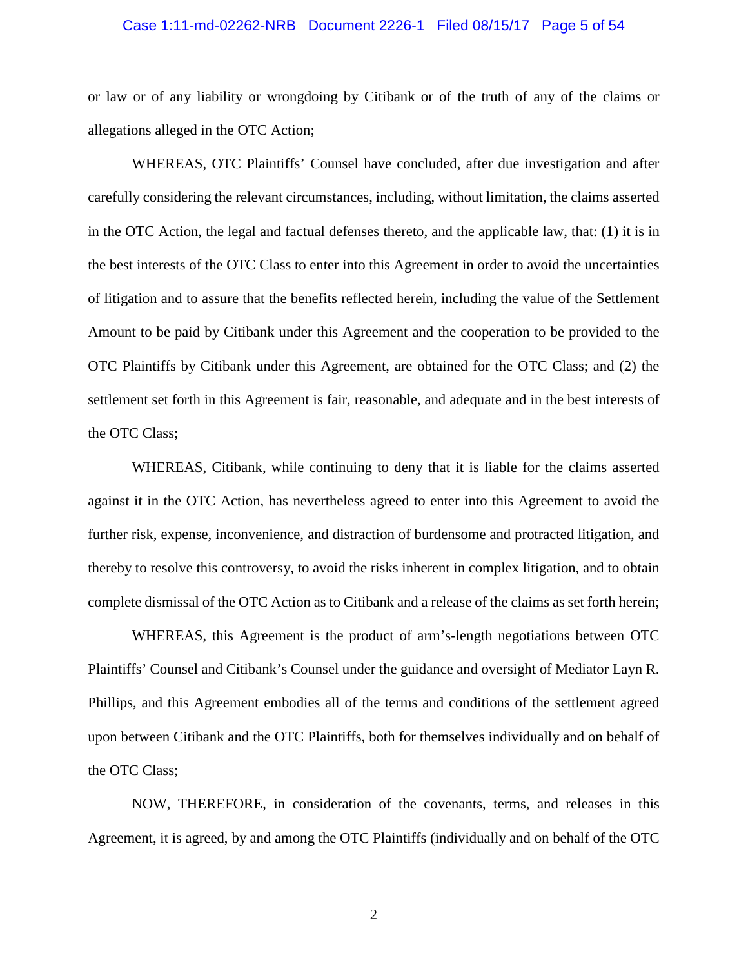### Case 1:11-md-02262-NRB Document 2226-1 Filed 08/15/17 Page 5 of 54

or law or of any liability or wrongdoing by Citibank or of the truth of any of the claims or allegations alleged in the OTC Action;

WHEREAS, OTC Plaintiffs' Counsel have concluded, after due investigation and after carefully considering the relevant circumstances, including, without limitation, the claims asserted in the OTC Action, the legal and factual defenses thereto, and the applicable law, that: (1) it is in the best interests of the OTC Class to enter into this Agreement in order to avoid the uncertainties of litigation and to assure that the benefits reflected herein, including the value of the Settlement Amount to be paid by Citibank under this Agreement and the cooperation to be provided to the OTC Plaintiffs by Citibank under this Agreement, are obtained for the OTC Class; and (2) the settlement set forth in this Agreement is fair, reasonable, and adequate and in the best interests of the OTC Class;

WHEREAS, Citibank, while continuing to deny that it is liable for the claims asserted against it in the OTC Action, has nevertheless agreed to enter into this Agreement to avoid the further risk, expense, inconvenience, and distraction of burdensome and protracted litigation, and thereby to resolve this controversy, to avoid the risks inherent in complex litigation, and to obtain complete dismissal of the OTC Action as to Citibank and a release of the claims as set forth herein;

WHEREAS, this Agreement is the product of arm's-length negotiations between OTC Plaintiffs' Counsel and Citibank's Counsel under the guidance and oversight of Mediator Layn R. Phillips, and this Agreement embodies all of the terms and conditions of the settlement agreed upon between Citibank and the OTC Plaintiffs, both for themselves individually and on behalf of the OTC Class;

NOW, THEREFORE, in consideration of the covenants, terms, and releases in this Agreement, it is agreed, by and among the OTC Plaintiffs (individually and on behalf of the OTC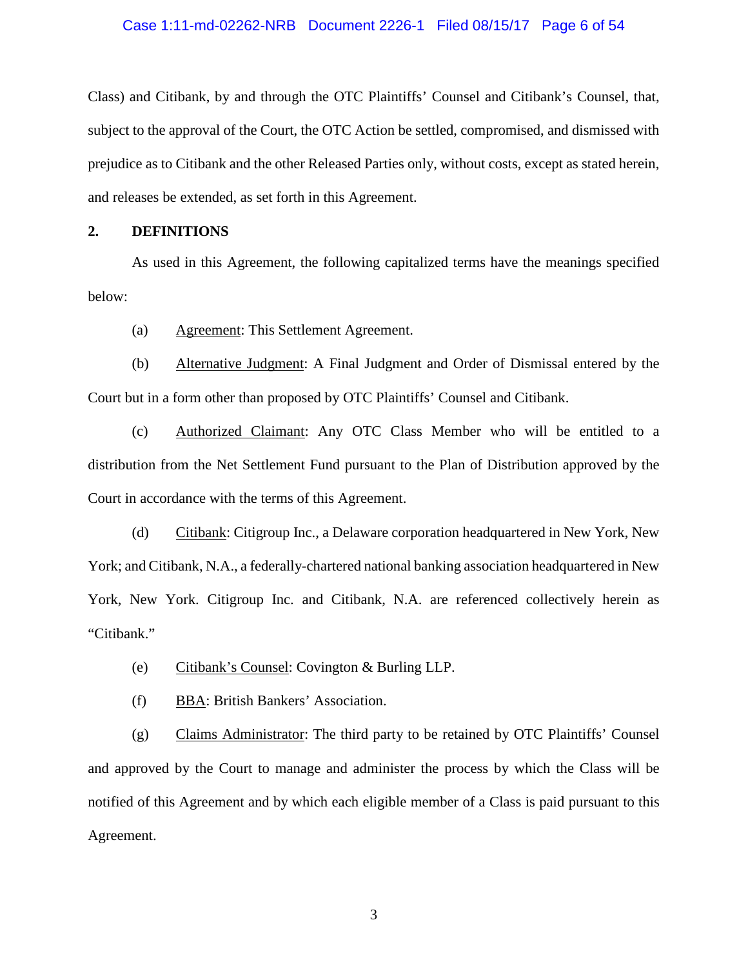### Case 1:11-md-02262-NRB Document 2226-1 Filed 08/15/17 Page 6 of 54

Class) and Citibank, by and through the OTC Plaintiffs' Counsel and Citibank's Counsel, that, subject to the approval of the Court, the OTC Action be settled, compromised, and dismissed with prejudice as to Citibank and the other Released Parties only, without costs, except as stated herein, and releases be extended, as set forth in this Agreement.

### <span id="page-4-0"></span>**2. DEFINITIONS**

As used in this Agreement, the following capitalized terms have the meanings specified below:

(a) Agreement: This Settlement Agreement.

(b) Alternative Judgment: A Final Judgment and Order of Dismissal entered by the Court but in a form other than proposed by OTC Plaintiffs' Counsel and Citibank.

(c) Authorized Claimant: Any OTC Class Member who will be entitled to a distribution from the Net Settlement Fund pursuant to the Plan of Distribution approved by the Court in accordance with the terms of this Agreement.

(d) Citibank: Citigroup Inc., a Delaware corporation headquartered in New York, New York; and Citibank, N.A., a federally-chartered national banking association headquartered in New York, New York. Citigroup Inc. and Citibank, N.A. are referenced collectively herein as "Citibank."

- (e) Citibank's Counsel: Covington & Burling LLP.
- (f) BBA: British Bankers' Association.

(g) Claims Administrator: The third party to be retained by OTC Plaintiffs' Counsel and approved by the Court to manage and administer the process by which the Class will be notified of this Agreement and by which each eligible member of a Class is paid pursuant to this Agreement.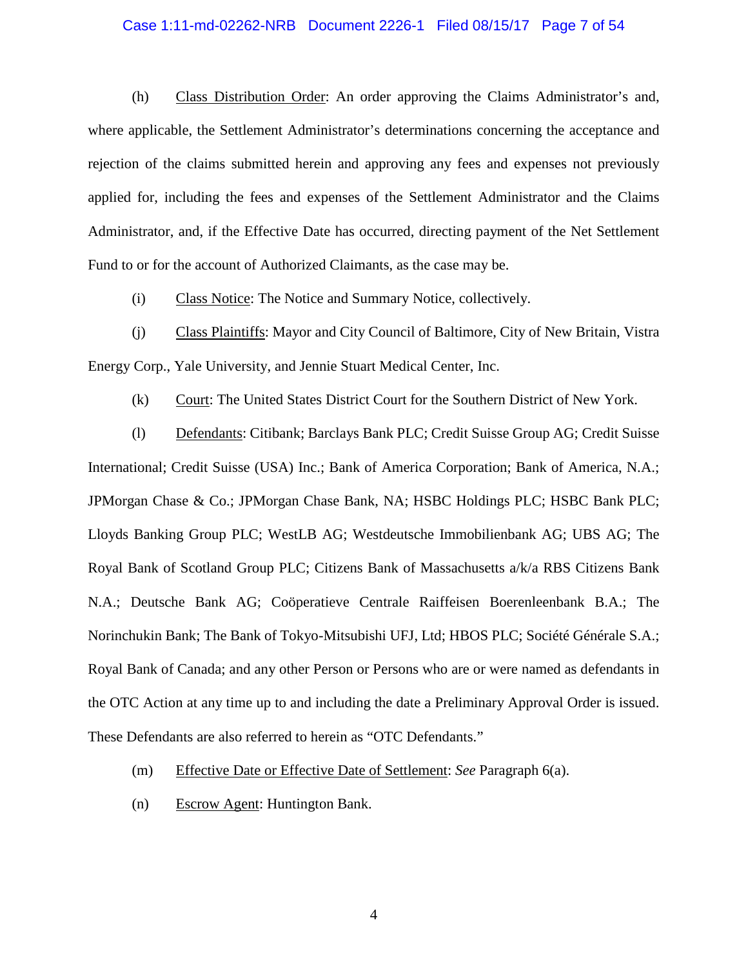# Case 1:11-md-02262-NRB Document 2226-1 Filed 08/15/17 Page 7 of 54

(h) Class Distribution Order: An order approving the Claims Administrator's and, where applicable, the Settlement Administrator's determinations concerning the acceptance and rejection of the claims submitted herein and approving any fees and expenses not previously applied for, including the fees and expenses of the Settlement Administrator and the Claims Administrator, and, if the Effective Date has occurred, directing payment of the Net Settlement Fund to or for the account of Authorized Claimants, as the case may be.

(i) Class Notice: The Notice and Summary Notice, collectively.

(j) Class Plaintiffs: Mayor and City Council of Baltimore, City of New Britain, Vistra Energy Corp., Yale University, and Jennie Stuart Medical Center, Inc.

(k) Court: The United States District Court for the Southern District of New York.

(l) Defendants: Citibank; Barclays Bank PLC; Credit Suisse Group AG; Credit Suisse International; Credit Suisse (USA) Inc.; Bank of America Corporation; Bank of America, N.A.; JPMorgan Chase & Co.; JPMorgan Chase Bank, NA; HSBC Holdings PLC; HSBC Bank PLC; Lloyds Banking Group PLC; WestLB AG; Westdeutsche Immobilienbank AG; UBS AG; The Royal Bank of Scotland Group PLC; Citizens Bank of Massachusetts a/k/a RBS Citizens Bank N.A.; Deutsche Bank AG; Coöperatieve Centrale Raiffeisen Boerenleenbank B.A.; The Norinchukin Bank; The Bank of Tokyo-Mitsubishi UFJ, Ltd; HBOS PLC; Société Générale S.A.; Royal Bank of Canada; and any other Person or Persons who are or were named as defendants in the OTC Action at any time up to and including the date a Preliminary Approval Order is issued. These Defendants are also referred to herein as "OTC Defendants."

- (m) Effective Date or Effective Date of Settlement: *See* Paragraph 6(a).
- (n) Escrow Agent: Huntington Bank.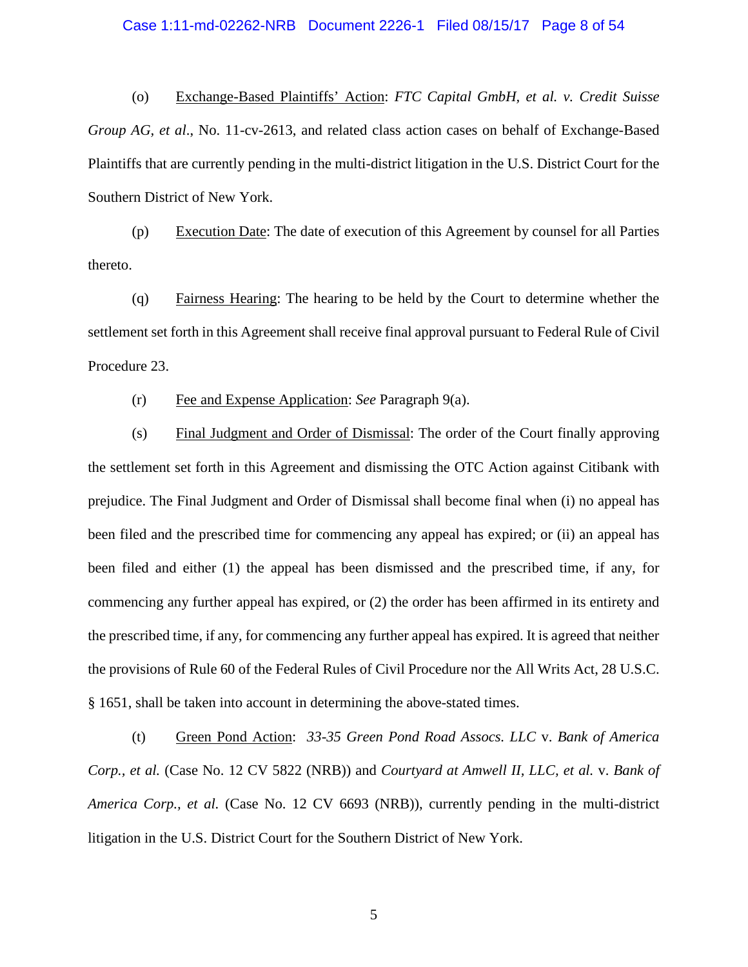# Case 1:11-md-02262-NRB Document 2226-1 Filed 08/15/17 Page 8 of 54

(o) Exchange-Based Plaintiffs' Action: *FTC Capital GmbH, et al. v. Credit Suisse Group AG, et al*., No. 11-cv-2613, and related class action cases on behalf of Exchange-Based Plaintiffs that are currently pending in the multi-district litigation in the U.S. District Court for the Southern District of New York.

(p) Execution Date: The date of execution of this Agreement by counsel for all Parties thereto.

(q) Fairness Hearing: The hearing to be held by the Court to determine whether the settlement set forth in this Agreement shall receive final approval pursuant to Federal Rule of Civil Procedure 23.

(r) Fee and Expense Application: *See* Paragraph 9(a).

(s) Final Judgment and Order of Dismissal: The order of the Court finally approving the settlement set forth in this Agreement and dismissing the OTC Action against Citibank with prejudice. The Final Judgment and Order of Dismissal shall become final when (i) no appeal has been filed and the prescribed time for commencing any appeal has expired; or (ii) an appeal has been filed and either (1) the appeal has been dismissed and the prescribed time, if any, for commencing any further appeal has expired, or (2) the order has been affirmed in its entirety and the prescribed time, if any, for commencing any further appeal has expired. It is agreed that neither the provisions of Rule 60 of the Federal Rules of Civil Procedure nor the All Writs Act, 28 U.S.C. § 1651, shall be taken into account in determining the above-stated times.

(t) Green Pond Action: *33-35 Green Pond Road Assocs. LLC* v. *Bank of America Corp., et al.* (Case No. 12 CV 5822 (NRB)) and *Courtyard at Amwell II, LLC, et al.* v. *Bank of America Corp., et al.* (Case No. 12 CV 6693 (NRB)), currently pending in the multi-district litigation in the U.S. District Court for the Southern District of New York.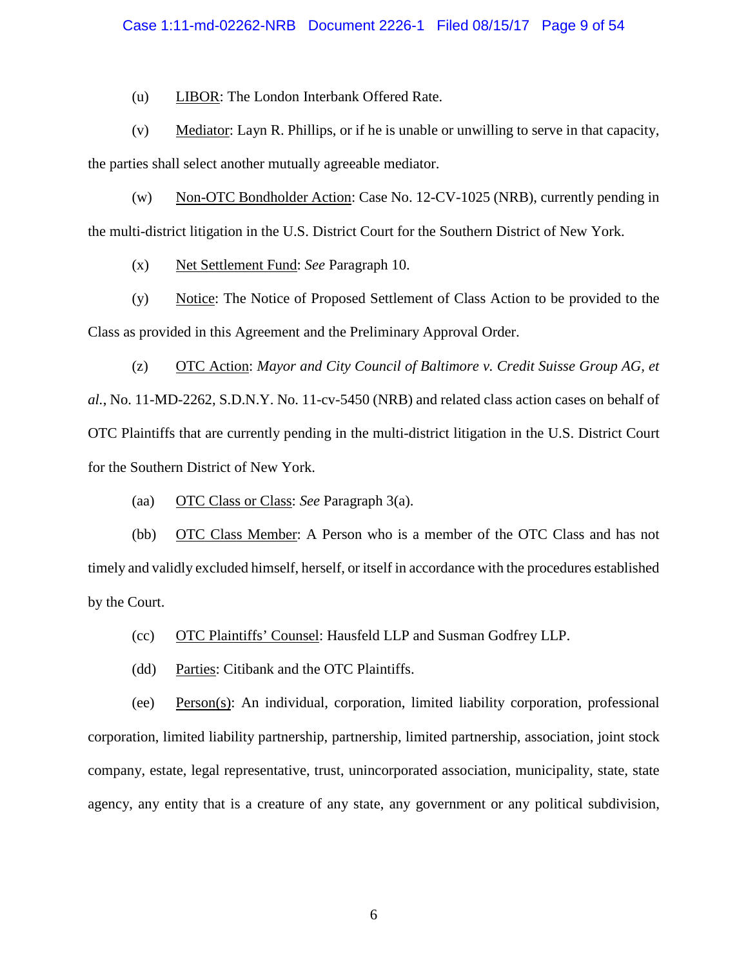# Case 1:11-md-02262-NRB Document 2226-1 Filed 08/15/17 Page 9 of 54

(u) LIBOR: The London Interbank Offered Rate.

(v) Mediator: Layn R. Phillips, or if he is unable or unwilling to serve in that capacity,

the parties shall select another mutually agreeable mediator.

(w) Non-OTC Bondholder Action: Case No. 12-CV-1025 (NRB), currently pending in the multi-district litigation in the U.S. District Court for the Southern District of New York.

(x) Net Settlement Fund: *See* Paragraph 10.

(y) Notice: The Notice of Proposed Settlement of Class Action to be provided to the Class as provided in this Agreement and the Preliminary Approval Order.

(z) OTC Action: *Mayor and City Council of Baltimore v. Credit Suisse Group AG, et al.*, No. 11-MD-2262, S.D.N.Y. No. 11-cv-5450 (NRB) and related class action cases on behalf of OTC Plaintiffs that are currently pending in the multi-district litigation in the U.S. District Court for the Southern District of New York.

(aa) OTC Class or Class: *See* Paragraph 3(a).

(bb) OTC Class Member: A Person who is a member of the OTC Class and has not timely and validly excluded himself, herself, or itself in accordance with the procedures established by the Court.

(cc) OTC Plaintiffs' Counsel: Hausfeld LLP and Susman Godfrey LLP.

(dd) Parties: Citibank and the OTC Plaintiffs.

(ee) Person(s): An individual, corporation, limited liability corporation, professional corporation, limited liability partnership, partnership, limited partnership, association, joint stock company, estate, legal representative, trust, unincorporated association, municipality, state, state agency, any entity that is a creature of any state, any government or any political subdivision,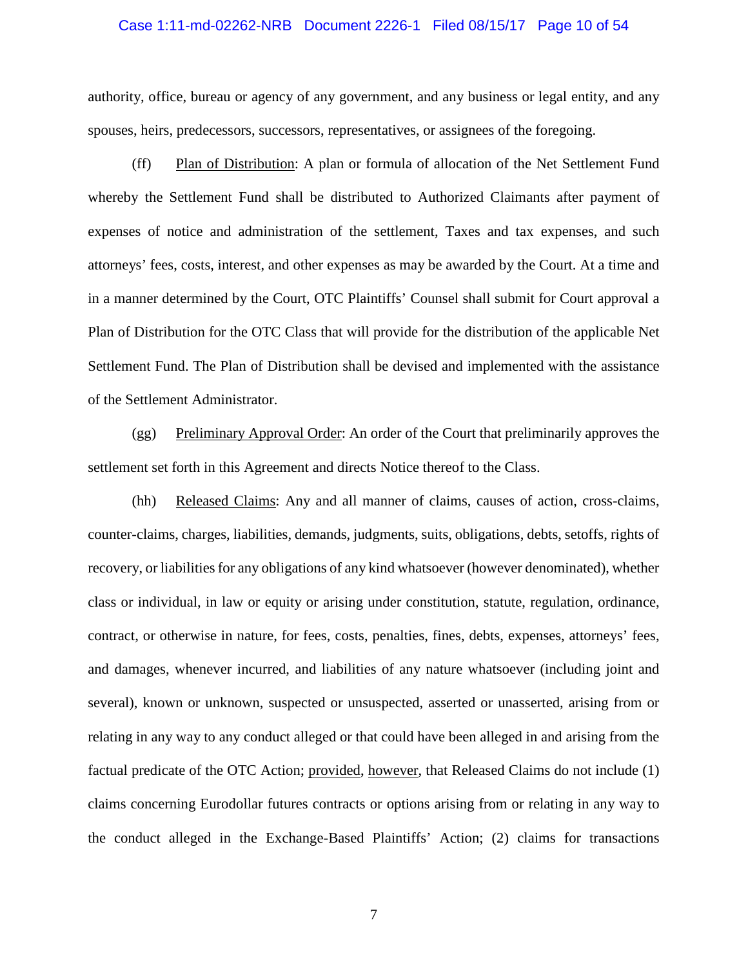#### Case 1:11-md-02262-NRB Document 2226-1 Filed 08/15/17 Page 10 of 54

authority, office, bureau or agency of any government, and any business or legal entity, and any spouses, heirs, predecessors, successors, representatives, or assignees of the foregoing.

(ff) Plan of Distribution: A plan or formula of allocation of the Net Settlement Fund whereby the Settlement Fund shall be distributed to Authorized Claimants after payment of expenses of notice and administration of the settlement, Taxes and tax expenses, and such attorneys' fees, costs, interest, and other expenses as may be awarded by the Court. At a time and in a manner determined by the Court, OTC Plaintiffs' Counsel shall submit for Court approval a Plan of Distribution for the OTC Class that will provide for the distribution of the applicable Net Settlement Fund. The Plan of Distribution shall be devised and implemented with the assistance of the Settlement Administrator.

(gg) Preliminary Approval Order: An order of the Court that preliminarily approves the settlement set forth in this Agreement and directs Notice thereof to the Class.

(hh) Released Claims: Any and all manner of claims, causes of action, cross-claims, counter-claims, charges, liabilities, demands, judgments, suits, obligations, debts, setoffs, rights of recovery, or liabilities for any obligations of any kind whatsoever (however denominated), whether class or individual, in law or equity or arising under constitution, statute, regulation, ordinance, contract, or otherwise in nature, for fees, costs, penalties, fines, debts, expenses, attorneys' fees, and damages, whenever incurred, and liabilities of any nature whatsoever (including joint and several), known or unknown, suspected or unsuspected, asserted or unasserted, arising from or relating in any way to any conduct alleged or that could have been alleged in and arising from the factual predicate of the OTC Action; provided, however, that Released Claims do not include (1) claims concerning Eurodollar futures contracts or options arising from or relating in any way to the conduct alleged in the Exchange-Based Plaintiffs' Action; (2) claims for transactions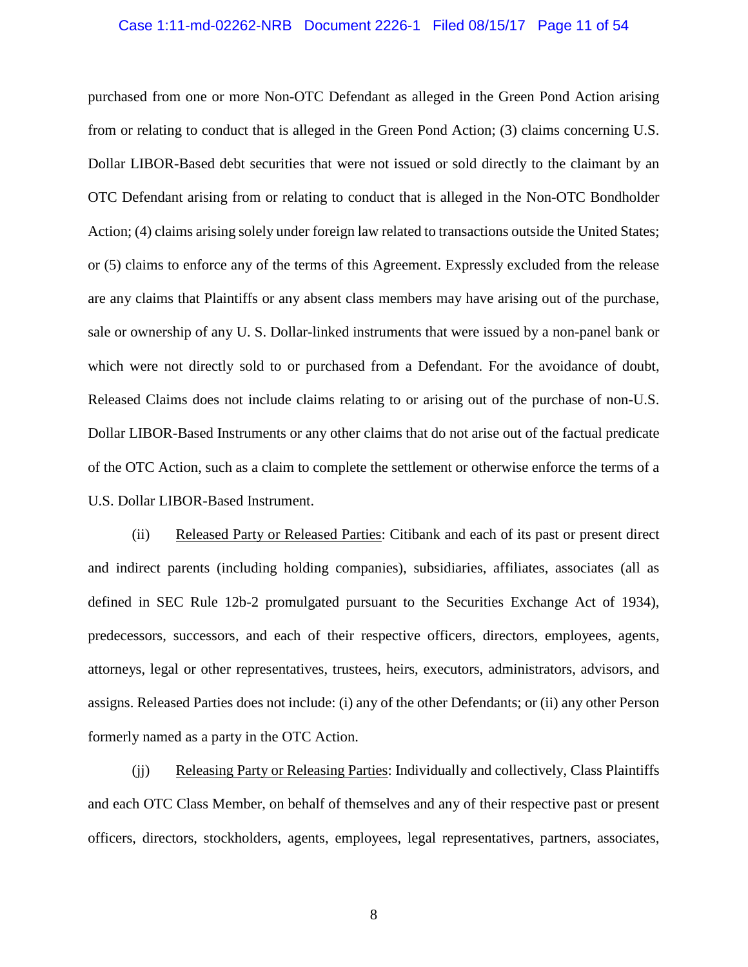# Case 1:11-md-02262-NRB Document 2226-1 Filed 08/15/17 Page 11 of 54

purchased from one or more Non-OTC Defendant as alleged in the Green Pond Action arising from or relating to conduct that is alleged in the Green Pond Action; (3) claims concerning U.S. Dollar LIBOR-Based debt securities that were not issued or sold directly to the claimant by an OTC Defendant arising from or relating to conduct that is alleged in the Non-OTC Bondholder Action; (4) claims arising solely under foreign law related to transactions outside the United States; or (5) claims to enforce any of the terms of this Agreement. Expressly excluded from the release are any claims that Plaintiffs or any absent class members may have arising out of the purchase, sale or ownership of any U. S. Dollar-linked instruments that were issued by a non-panel bank or which were not directly sold to or purchased from a Defendant. For the avoidance of doubt, Released Claims does not include claims relating to or arising out of the purchase of non-U.S. Dollar LIBOR-Based Instruments or any other claims that do not arise out of the factual predicate of the OTC Action, such as a claim to complete the settlement or otherwise enforce the terms of a U.S. Dollar LIBOR-Based Instrument.

(ii) Released Party or Released Parties: Citibank and each of its past or present direct and indirect parents (including holding companies), subsidiaries, affiliates, associates (all as defined in SEC Rule 12b-2 promulgated pursuant to the Securities Exchange Act of 1934), predecessors, successors, and each of their respective officers, directors, employees, agents, attorneys, legal or other representatives, trustees, heirs, executors, administrators, advisors, and assigns. Released Parties does not include: (i) any of the other Defendants; or (ii) any other Person formerly named as a party in the OTC Action.

(ii) Releasing Party or Releasing Parties: Individually and collectively, Class Plaintiffs and each OTC Class Member, on behalf of themselves and any of their respective past or present officers, directors, stockholders, agents, employees, legal representatives, partners, associates,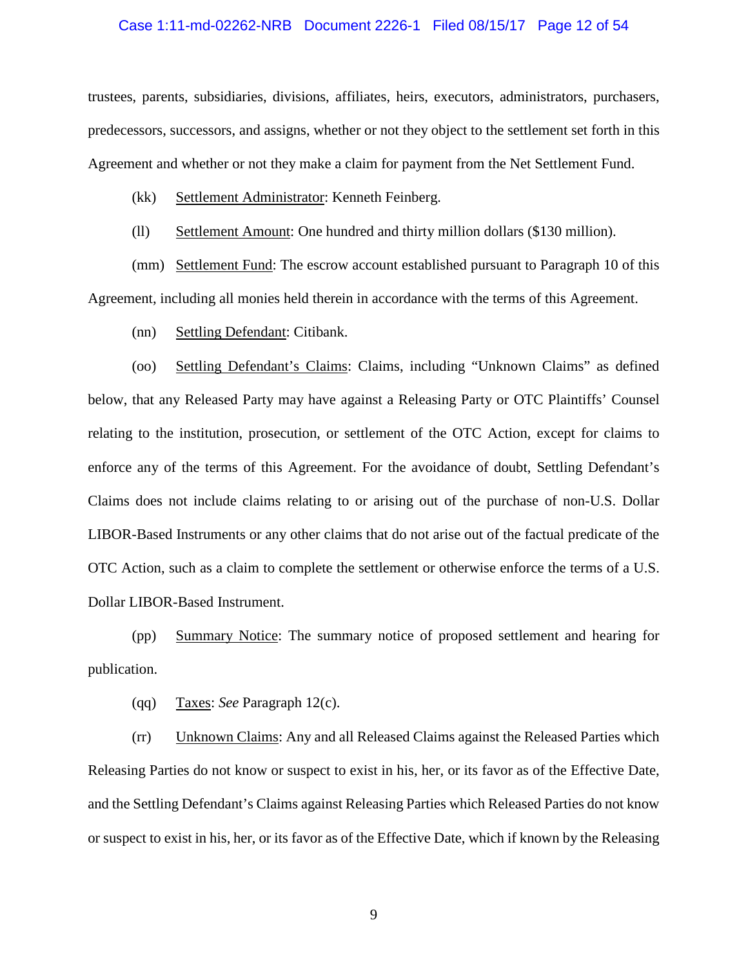# Case 1:11-md-02262-NRB Document 2226-1 Filed 08/15/17 Page 12 of 54

trustees, parents, subsidiaries, divisions, affiliates, heirs, executors, administrators, purchasers, predecessors, successors, and assigns, whether or not they object to the settlement set forth in this Agreement and whether or not they make a claim for payment from the Net Settlement Fund.

- (kk) Settlement Administrator: Kenneth Feinberg.
- (ll) Settlement Amount: One hundred and thirty million dollars (\$130 million).

(mm) Settlement Fund: The escrow account established pursuant to Paragraph 10 of this Agreement, including all monies held therein in accordance with the terms of this Agreement.

(nn) Settling Defendant: Citibank.

(oo) Settling Defendant's Claims: Claims, including "Unknown Claims" as defined below, that any Released Party may have against a Releasing Party or OTC Plaintiffs' Counsel relating to the institution, prosecution, or settlement of the OTC Action, except for claims to enforce any of the terms of this Agreement. For the avoidance of doubt, Settling Defendant's Claims does not include claims relating to or arising out of the purchase of non-U.S. Dollar LIBOR-Based Instruments or any other claims that do not arise out of the factual predicate of the OTC Action, such as a claim to complete the settlement or otherwise enforce the terms of a U.S. Dollar LIBOR-Based Instrument.

(pp) Summary Notice: The summary notice of proposed settlement and hearing for publication.

(qq) Taxes: *See* Paragraph 12(c).

(rr) Unknown Claims: Any and all Released Claims against the Released Parties which Releasing Parties do not know or suspect to exist in his, her, or its favor as of the Effective Date, and the Settling Defendant's Claims against Releasing Parties which Released Parties do not know or suspect to exist in his, her, or its favor as of the Effective Date, which if known by the Releasing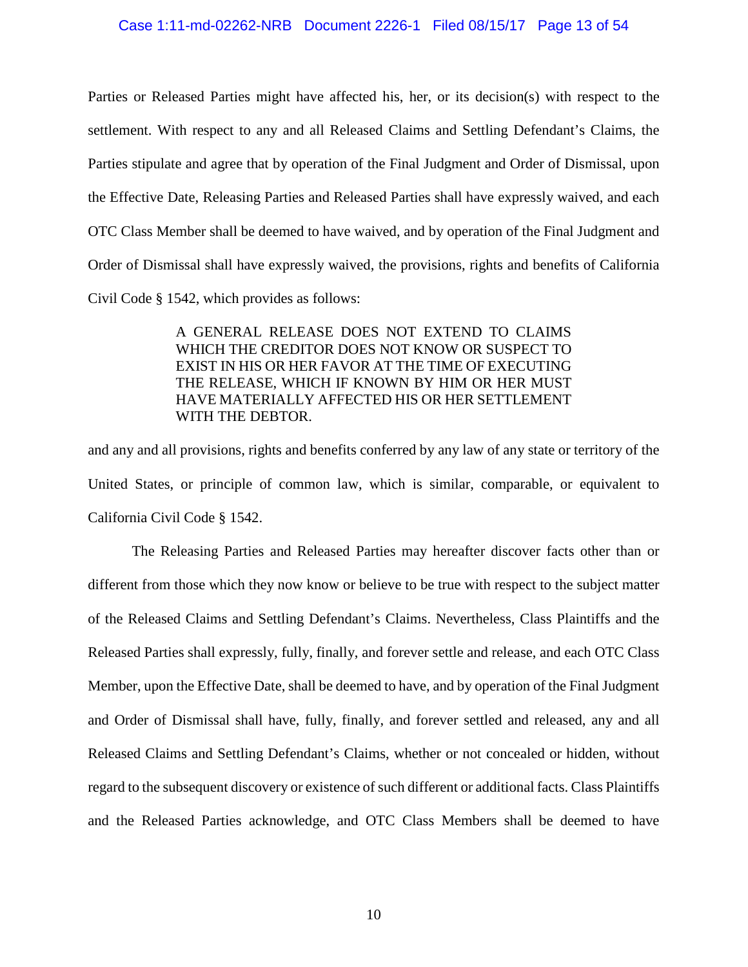### Case 1:11-md-02262-NRB Document 2226-1 Filed 08/15/17 Page 13 of 54

Parties or Released Parties might have affected his, her, or its decision(s) with respect to the settlement. With respect to any and all Released Claims and Settling Defendant's Claims, the Parties stipulate and agree that by operation of the Final Judgment and Order of Dismissal, upon the Effective Date, Releasing Parties and Released Parties shall have expressly waived, and each OTC Class Member shall be deemed to have waived, and by operation of the Final Judgment and Order of Dismissal shall have expressly waived, the provisions, rights and benefits of California Civil Code § 1542, which provides as follows:

> A GENERAL RELEASE DOES NOT EXTEND TO CLAIMS WHICH THE CREDITOR DOES NOT KNOW OR SUSPECT TO EXIST IN HIS OR HER FAVOR AT THE TIME OF EXECUTING THE RELEASE, WHICH IF KNOWN BY HIM OR HER MUST HAVE MATERIALLY AFFECTED HIS OR HER SETTLEMENT WITH THE DEBTOR.

and any and all provisions, rights and benefits conferred by any law of any state or territory of the United States, or principle of common law, which is similar, comparable, or equivalent to California Civil Code § 1542.

The Releasing Parties and Released Parties may hereafter discover facts other than or different from those which they now know or believe to be true with respect to the subject matter of the Released Claims and Settling Defendant's Claims. Nevertheless, Class Plaintiffs and the Released Parties shall expressly, fully, finally, and forever settle and release, and each OTC Class Member, upon the Effective Date, shall be deemed to have, and by operation of the Final Judgment and Order of Dismissal shall have, fully, finally, and forever settled and released, any and all Released Claims and Settling Defendant's Claims, whether or not concealed or hidden, without regard to the subsequent discovery or existence of such different or additional facts. Class Plaintiffs and the Released Parties acknowledge, and OTC Class Members shall be deemed to have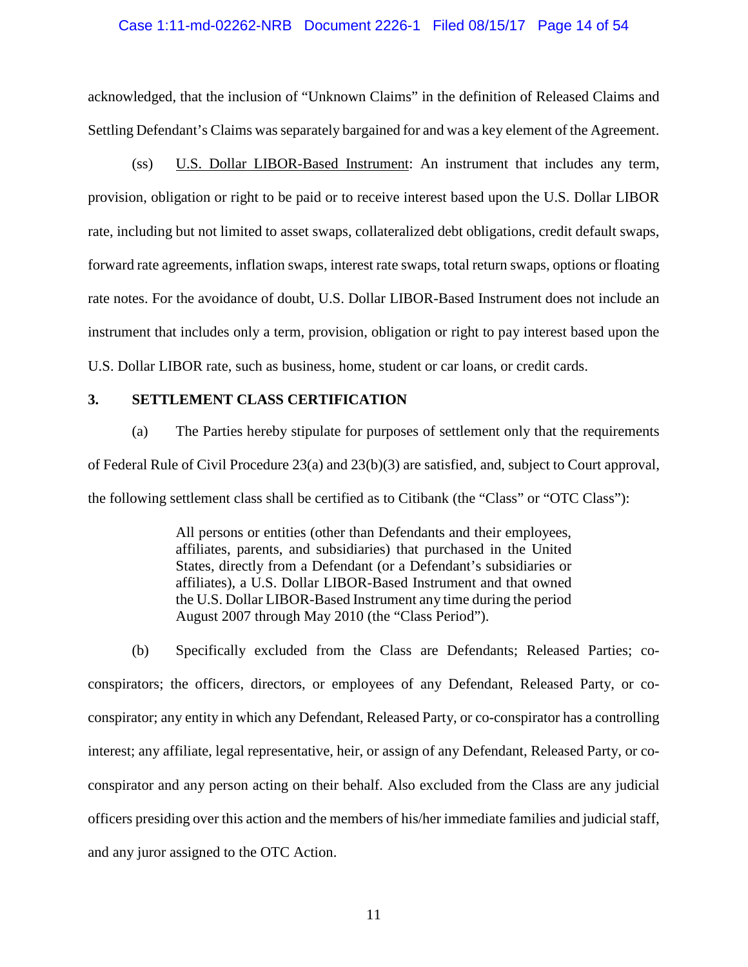### Case 1:11-md-02262-NRB Document 2226-1 Filed 08/15/17 Page 14 of 54

acknowledged, that the inclusion of "Unknown Claims" in the definition of Released Claims and Settling Defendant's Claims was separately bargained for and was a key element of the Agreement.

(ss) U.S. Dollar LIBOR-Based Instrument: An instrument that includes any term, provision, obligation or right to be paid or to receive interest based upon the U.S. Dollar LIBOR rate, including but not limited to asset swaps, collateralized debt obligations, credit default swaps, forward rate agreements, inflation swaps, interest rate swaps, total return swaps, options or floating rate notes. For the avoidance of doubt, U.S. Dollar LIBOR-Based Instrument does not include an instrument that includes only a term, provision, obligation or right to pay interest based upon the U.S. Dollar LIBOR rate, such as business, home, student or car loans, or credit cards.

### <span id="page-12-0"></span>**3. SETTLEMENT CLASS CERTIFICATION**

(a) The Parties hereby stipulate for purposes of settlement only that the requirements of Federal Rule of Civil Procedure 23(a) and 23(b)(3) are satisfied, and, subject to Court approval, the following settlement class shall be certified as to Citibank (the "Class" or "OTC Class"):

> All persons or entities (other than Defendants and their employees, affiliates, parents, and subsidiaries) that purchased in the United States, directly from a Defendant (or a Defendant's subsidiaries or affiliates), a U.S. Dollar LIBOR-Based Instrument and that owned the U.S. Dollar LIBOR-Based Instrument any time during the period August 2007 through May 2010 (the "Class Period").

(b) Specifically excluded from the Class are Defendants; Released Parties; coconspirators; the officers, directors, or employees of any Defendant, Released Party, or coconspirator; any entity in which any Defendant, Released Party, or co-conspirator has a controlling interest; any affiliate, legal representative, heir, or assign of any Defendant, Released Party, or coconspirator and any person acting on their behalf. Also excluded from the Class are any judicial officers presiding over this action and the members of his/her immediate families and judicial staff, and any juror assigned to the OTC Action.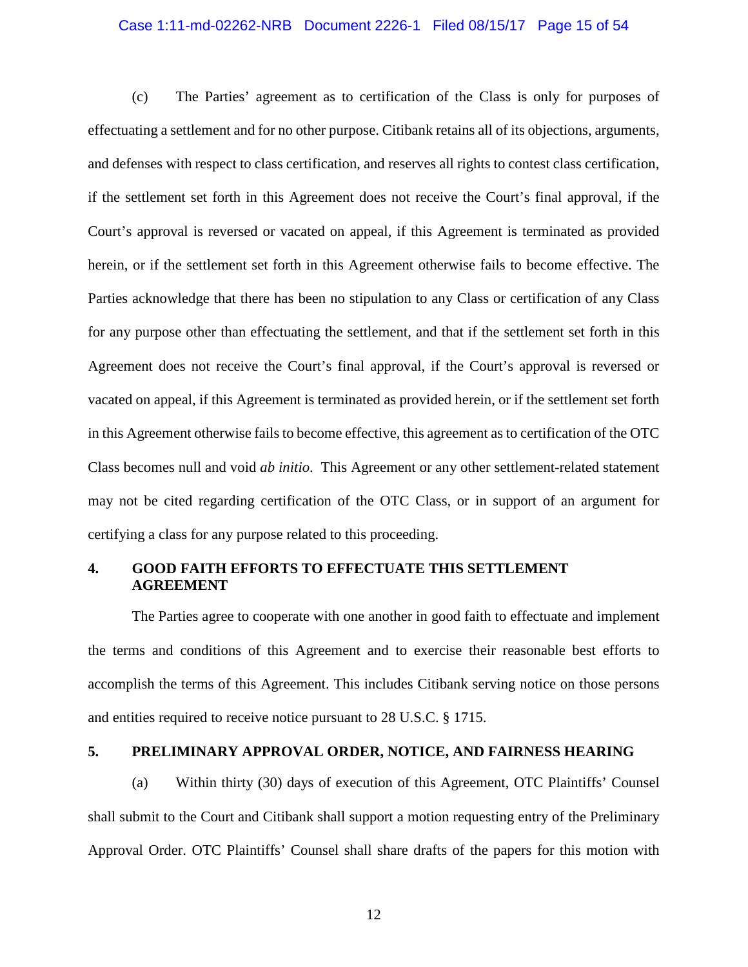# Case 1:11-md-02262-NRB Document 2226-1 Filed 08/15/17 Page 15 of 54

(c) The Parties' agreement as to certification of the Class is only for purposes of effectuating a settlement and for no other purpose. Citibank retains all of its objections, arguments, and defenses with respect to class certification, and reserves all rights to contest class certification, if the settlement set forth in this Agreement does not receive the Court's final approval, if the Court's approval is reversed or vacated on appeal, if this Agreement is terminated as provided herein, or if the settlement set forth in this Agreement otherwise fails to become effective. The Parties acknowledge that there has been no stipulation to any Class or certification of any Class for any purpose other than effectuating the settlement, and that if the settlement set forth in this Agreement does not receive the Court's final approval, if the Court's approval is reversed or vacated on appeal, if this Agreement is terminated as provided herein, or if the settlement set forth in this Agreement otherwise fails to become effective, this agreement as to certification of the OTC Class becomes null and void *ab initio*. This Agreement or any other settlement-related statement may not be cited regarding certification of the OTC Class, or in support of an argument for certifying a class for any purpose related to this proceeding.

### <span id="page-13-0"></span>**4. GOOD FAITH EFFORTS TO EFFECTUATE THIS SETTLEMENT AGREEMENT**

The Parties agree to cooperate with one another in good faith to effectuate and implement the terms and conditions of this Agreement and to exercise their reasonable best efforts to accomplish the terms of this Agreement. This includes Citibank serving notice on those persons and entities required to receive notice pursuant to 28 U.S.C. § 1715.

### <span id="page-13-1"></span>**5. PRELIMINARY APPROVAL ORDER, NOTICE, AND FAIRNESS HEARING**

(a) Within thirty (30) days of execution of this Agreement, OTC Plaintiffs' Counsel shall submit to the Court and Citibank shall support a motion requesting entry of the Preliminary Approval Order. OTC Plaintiffs' Counsel shall share drafts of the papers for this motion with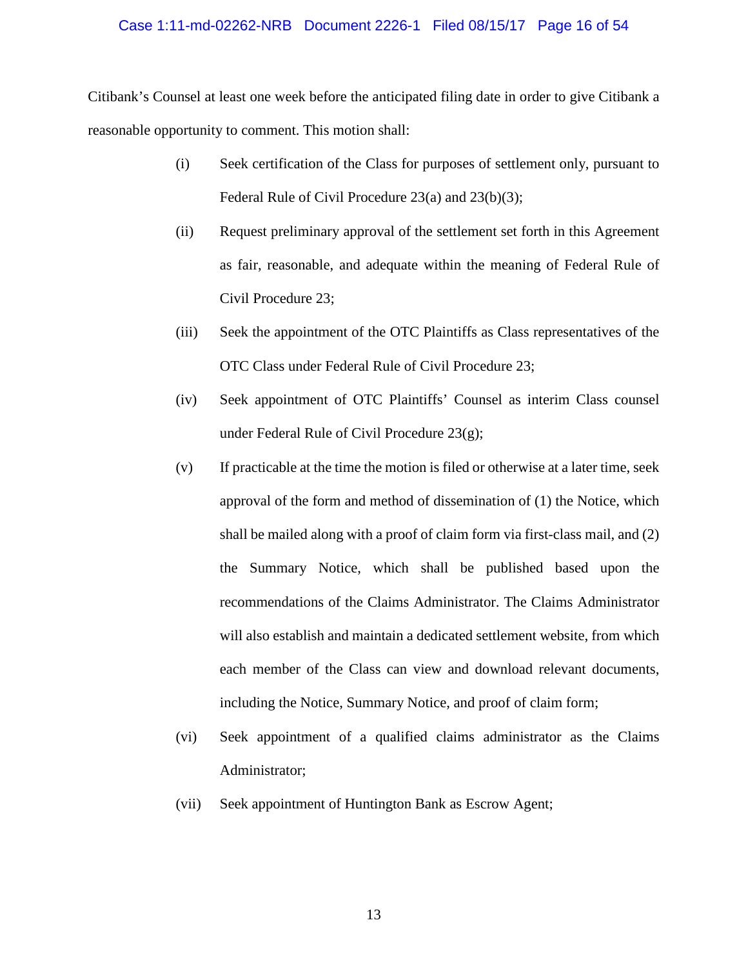### Case 1:11-md-02262-NRB Document 2226-1 Filed 08/15/17 Page 16 of 54

Citibank's Counsel at least one week before the anticipated filing date in order to give Citibank a reasonable opportunity to comment. This motion shall:

- (i) Seek certification of the Class for purposes of settlement only, pursuant to Federal Rule of Civil Procedure 23(a) and 23(b)(3);
- (ii) Request preliminary approval of the settlement set forth in this Agreement as fair, reasonable, and adequate within the meaning of Federal Rule of Civil Procedure 23;
- (iii) Seek the appointment of the OTC Plaintiffs as Class representatives of the OTC Class under Federal Rule of Civil Procedure 23;
- (iv) Seek appointment of OTC Plaintiffs' Counsel as interim Class counsel under Federal Rule of Civil Procedure 23(g);
- (v) If practicable at the time the motion is filed or otherwise at a later time, seek approval of the form and method of dissemination of (1) the Notice, which shall be mailed along with a proof of claim form via first-class mail, and (2) the Summary Notice, which shall be published based upon the recommendations of the Claims Administrator. The Claims Administrator will also establish and maintain a dedicated settlement website, from which each member of the Class can view and download relevant documents, including the Notice, Summary Notice, and proof of claim form;
- (vi) Seek appointment of a qualified claims administrator as the Claims Administrator;
- (vii) Seek appointment of Huntington Bank as Escrow Agent;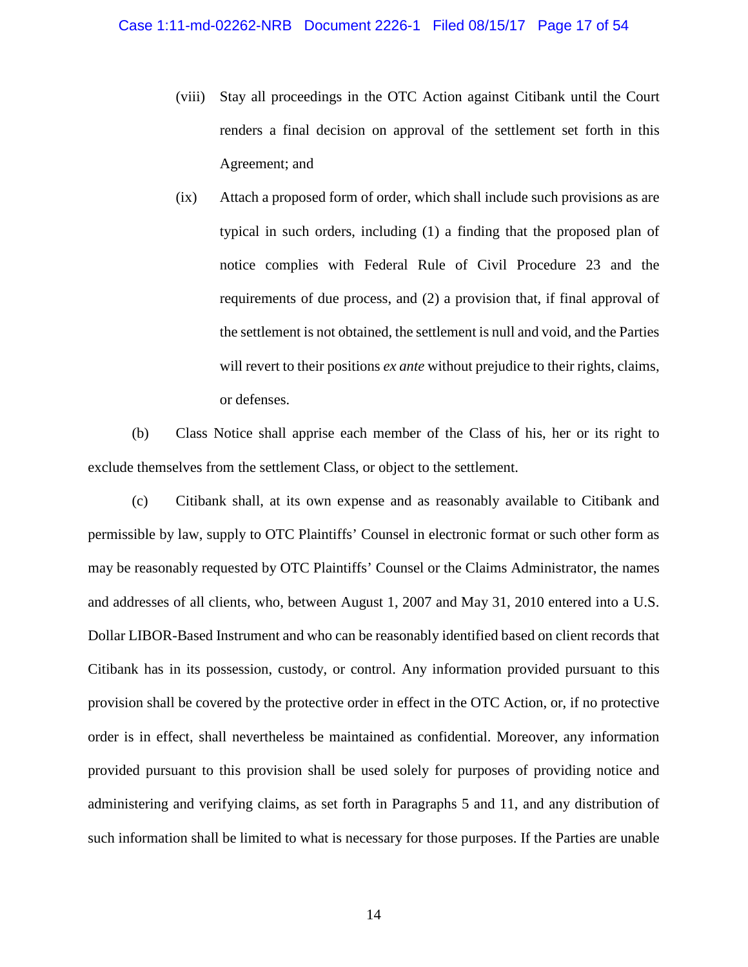- (viii) Stay all proceedings in the OTC Action against Citibank until the Court renders a final decision on approval of the settlement set forth in this Agreement; and
- (ix) Attach a proposed form of order, which shall include such provisions as are typical in such orders, including (1) a finding that the proposed plan of notice complies with Federal Rule of Civil Procedure 23 and the requirements of due process, and (2) a provision that, if final approval of the settlement is not obtained, the settlement is null and void, and the Parties will revert to their positions *ex ante* without prejudice to their rights, claims, or defenses.

(b) Class Notice shall apprise each member of the Class of his, her or its right to exclude themselves from the settlement Class, or object to the settlement.

(c) Citibank shall, at its own expense and as reasonably available to Citibank and permissible by law, supply to OTC Plaintiffs' Counsel in electronic format or such other form as may be reasonably requested by OTC Plaintiffs' Counsel or the Claims Administrator, the names and addresses of all clients, who, between August 1, 2007 and May 31, 2010 entered into a U.S. Dollar LIBOR-Based Instrument and who can be reasonably identified based on client records that Citibank has in its possession, custody, or control. Any information provided pursuant to this provision shall be covered by the protective order in effect in the OTC Action, or, if no protective order is in effect, shall nevertheless be maintained as confidential. Moreover, any information provided pursuant to this provision shall be used solely for purposes of providing notice and administering and verifying claims, as set forth in Paragraphs 5 and 11, and any distribution of such information shall be limited to what is necessary for those purposes. If the Parties are unable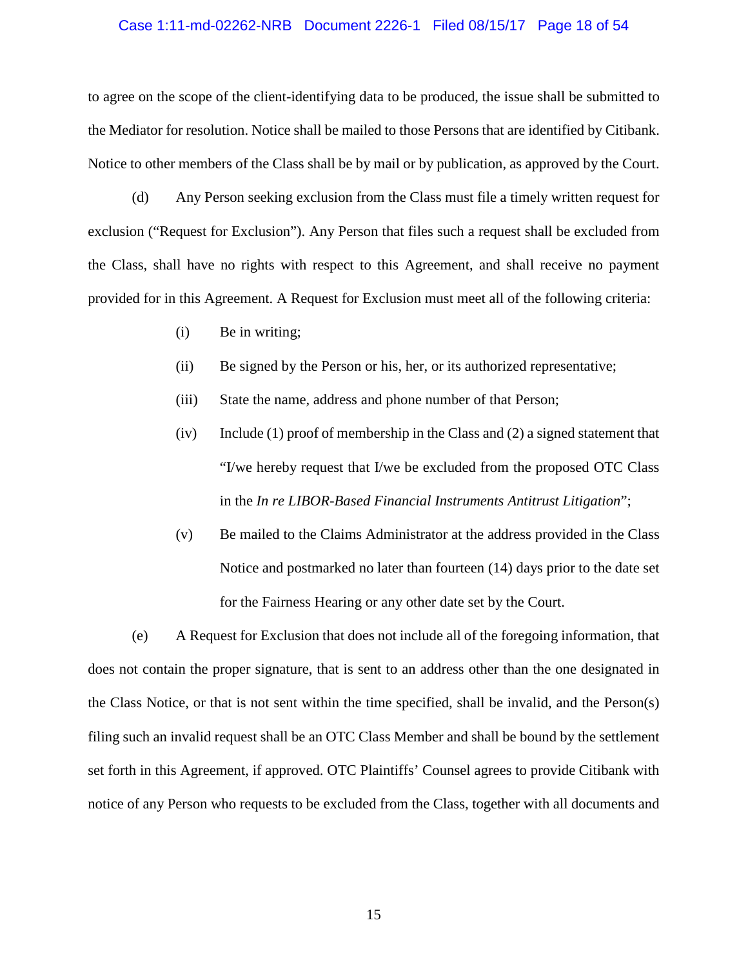#### Case 1:11-md-02262-NRB Document 2226-1 Filed 08/15/17 Page 18 of 54

to agree on the scope of the client-identifying data to be produced, the issue shall be submitted to the Mediator for resolution. Notice shall be mailed to those Persons that are identified by Citibank. Notice to other members of the Class shall be by mail or by publication, as approved by the Court.

(d) Any Person seeking exclusion from the Class must file a timely written request for exclusion ("Request for Exclusion"). Any Person that files such a request shall be excluded from the Class, shall have no rights with respect to this Agreement, and shall receive no payment provided for in this Agreement. A Request for Exclusion must meet all of the following criteria:

- (i) Be in writing;
- (ii) Be signed by the Person or his, her, or its authorized representative;
- (iii) State the name, address and phone number of that Person;
- (iv) Include (1) proof of membership in the Class and (2) a signed statement that "I/we hereby request that I/we be excluded from the proposed OTC Class in the *In re LIBOR-Based Financial Instruments Antitrust Litigation*";
- (v) Be mailed to the Claims Administrator at the address provided in the Class Notice and postmarked no later than fourteen (14) days prior to the date set for the Fairness Hearing or any other date set by the Court.

(e) A Request for Exclusion that does not include all of the foregoing information, that does not contain the proper signature, that is sent to an address other than the one designated in the Class Notice, or that is not sent within the time specified, shall be invalid, and the Person(s) filing such an invalid request shall be an OTC Class Member and shall be bound by the settlement set forth in this Agreement, if approved. OTC Plaintiffs' Counsel agrees to provide Citibank with notice of any Person who requests to be excluded from the Class, together with all documents and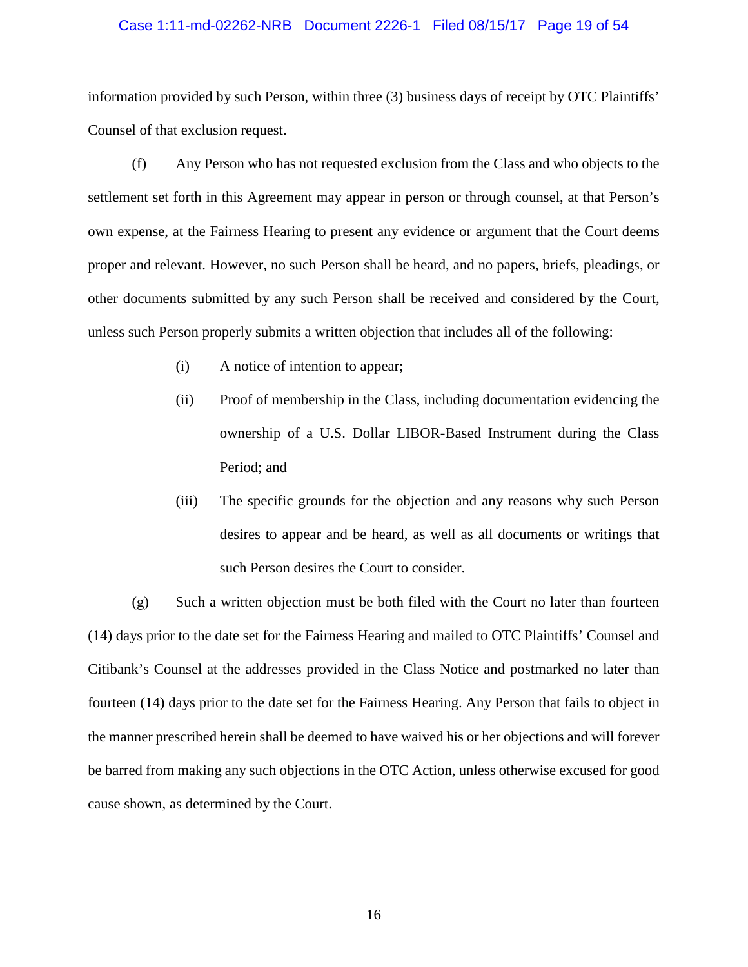# Case 1:11-md-02262-NRB Document 2226-1 Filed 08/15/17 Page 19 of 54

information provided by such Person, within three (3) business days of receipt by OTC Plaintiffs' Counsel of that exclusion request.

(f) Any Person who has not requested exclusion from the Class and who objects to the settlement set forth in this Agreement may appear in person or through counsel, at that Person's own expense, at the Fairness Hearing to present any evidence or argument that the Court deems proper and relevant. However, no such Person shall be heard, and no papers, briefs, pleadings, or other documents submitted by any such Person shall be received and considered by the Court, unless such Person properly submits a written objection that includes all of the following:

- (i) A notice of intention to appear;
- (ii) Proof of membership in the Class, including documentation evidencing the ownership of a U.S. Dollar LIBOR-Based Instrument during the Class Period; and
- (iii) The specific grounds for the objection and any reasons why such Person desires to appear and be heard, as well as all documents or writings that such Person desires the Court to consider.

(g) Such a written objection must be both filed with the Court no later than fourteen (14) days prior to the date set for the Fairness Hearing and mailed to OTC Plaintiffs' Counsel and Citibank's Counsel at the addresses provided in the Class Notice and postmarked no later than fourteen (14) days prior to the date set for the Fairness Hearing. Any Person that fails to object in the manner prescribed herein shall be deemed to have waived his or her objections and will forever be barred from making any such objections in the OTC Action, unless otherwise excused for good cause shown, as determined by the Court.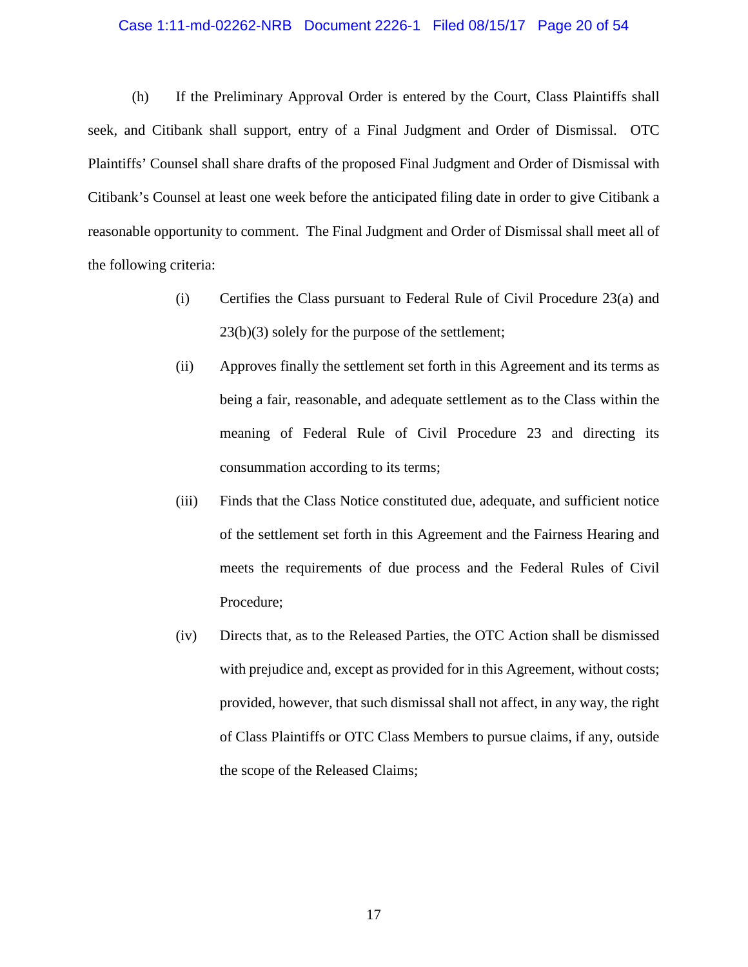#### Case 1:11-md-02262-NRB Document 2226-1 Filed 08/15/17 Page 20 of 54

(h) If the Preliminary Approval Order is entered by the Court, Class Plaintiffs shall seek, and Citibank shall support, entry of a Final Judgment and Order of Dismissal. OTC Plaintiffs' Counsel shall share drafts of the proposed Final Judgment and Order of Dismissal with Citibank's Counsel at least one week before the anticipated filing date in order to give Citibank a reasonable opportunity to comment. The Final Judgment and Order of Dismissal shall meet all of the following criteria:

- (i) Certifies the Class pursuant to Federal Rule of Civil Procedure 23(a) and 23(b)(3) solely for the purpose of the settlement;
- (ii) Approves finally the settlement set forth in this Agreement and its terms as being a fair, reasonable, and adequate settlement as to the Class within the meaning of Federal Rule of Civil Procedure 23 and directing its consummation according to its terms;
- (iii) Finds that the Class Notice constituted due, adequate, and sufficient notice of the settlement set forth in this Agreement and the Fairness Hearing and meets the requirements of due process and the Federal Rules of Civil Procedure;
- (iv) Directs that, as to the Released Parties, the OTC Action shall be dismissed with prejudice and, except as provided for in this Agreement, without costs; provided, however, that such dismissal shall not affect, in any way, the right of Class Plaintiffs or OTC Class Members to pursue claims, if any, outside the scope of the Released Claims;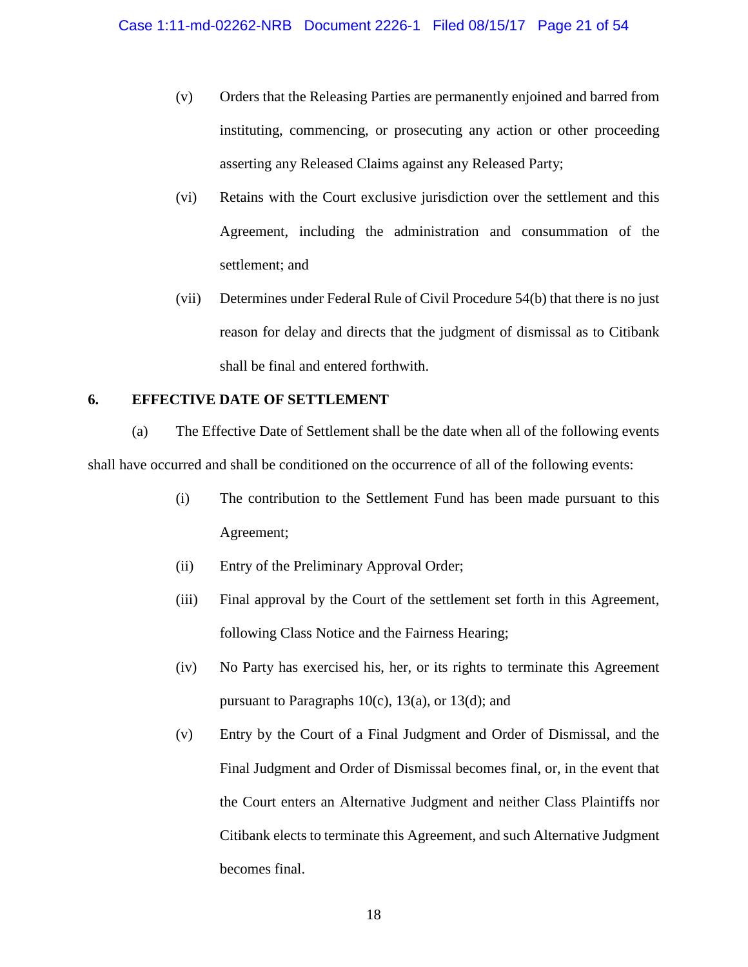- (v) Orders that the Releasing Parties are permanently enjoined and barred from instituting, commencing, or prosecuting any action or other proceeding asserting any Released Claims against any Released Party;
- (vi) Retains with the Court exclusive jurisdiction over the settlement and this Agreement, including the administration and consummation of the settlement; and
- (vii) Determines under Federal Rule of Civil Procedure 54(b) that there is no just reason for delay and directs that the judgment of dismissal as to Citibank shall be final and entered forthwith.

# <span id="page-19-0"></span>**6. EFFECTIVE DATE OF SETTLEMENT**

(a) The Effective Date of Settlement shall be the date when all of the following events shall have occurred and shall be conditioned on the occurrence of all of the following events:

- (i) The contribution to the Settlement Fund has been made pursuant to this Agreement;
- (ii) Entry of the Preliminary Approval Order;
- (iii) Final approval by the Court of the settlement set forth in this Agreement, following Class Notice and the Fairness Hearing;
- (iv) No Party has exercised his, her, or its rights to terminate this Agreement pursuant to Paragraphs  $10(c)$ ,  $13(a)$ , or  $13(d)$ ; and
- (v) Entry by the Court of a Final Judgment and Order of Dismissal, and the Final Judgment and Order of Dismissal becomes final, or, in the event that the Court enters an Alternative Judgment and neither Class Plaintiffs nor Citibank elects to terminate this Agreement, and such Alternative Judgment becomes final.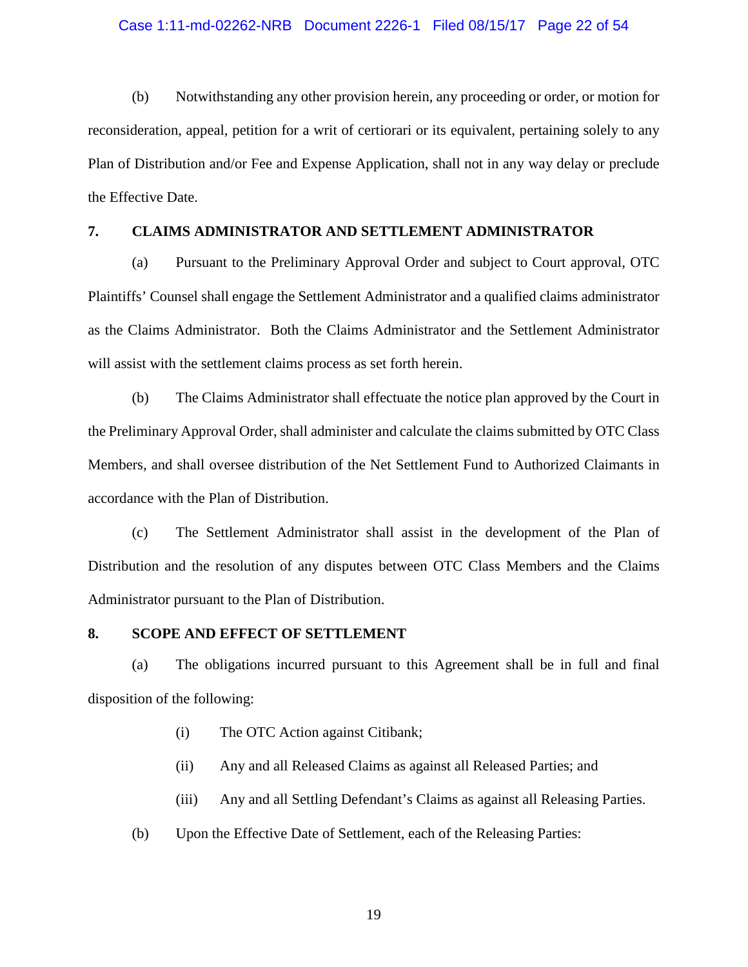# Case 1:11-md-02262-NRB Document 2226-1 Filed 08/15/17 Page 22 of 54

(b) Notwithstanding any other provision herein, any proceeding or order, or motion for reconsideration, appeal, petition for a writ of certiorari or its equivalent, pertaining solely to any Plan of Distribution and/or Fee and Expense Application, shall not in any way delay or preclude the Effective Date.

# <span id="page-20-0"></span>**7. CLAIMS ADMINISTRATOR AND SETTLEMENT ADMINISTRATOR**

(a) Pursuant to the Preliminary Approval Order and subject to Court approval, OTC Plaintiffs' Counsel shall engage the Settlement Administrator and a qualified claims administrator as the Claims Administrator. Both the Claims Administrator and the Settlement Administrator will assist with the settlement claims process as set forth herein.

(b) The Claims Administrator shall effectuate the notice plan approved by the Court in the Preliminary Approval Order, shall administer and calculate the claims submitted by OTC Class Members, and shall oversee distribution of the Net Settlement Fund to Authorized Claimants in accordance with the Plan of Distribution.

(c) The Settlement Administrator shall assist in the development of the Plan of Distribution and the resolution of any disputes between OTC Class Members and the Claims Administrator pursuant to the Plan of Distribution.

### <span id="page-20-1"></span>**8. SCOPE AND EFFECT OF SETTLEMENT**

(a) The obligations incurred pursuant to this Agreement shall be in full and final disposition of the following:

- (i) The OTC Action against Citibank;
- (ii) Any and all Released Claims as against all Released Parties; and
- (iii) Any and all Settling Defendant's Claims as against all Releasing Parties.
- (b) Upon the Effective Date of Settlement, each of the Releasing Parties: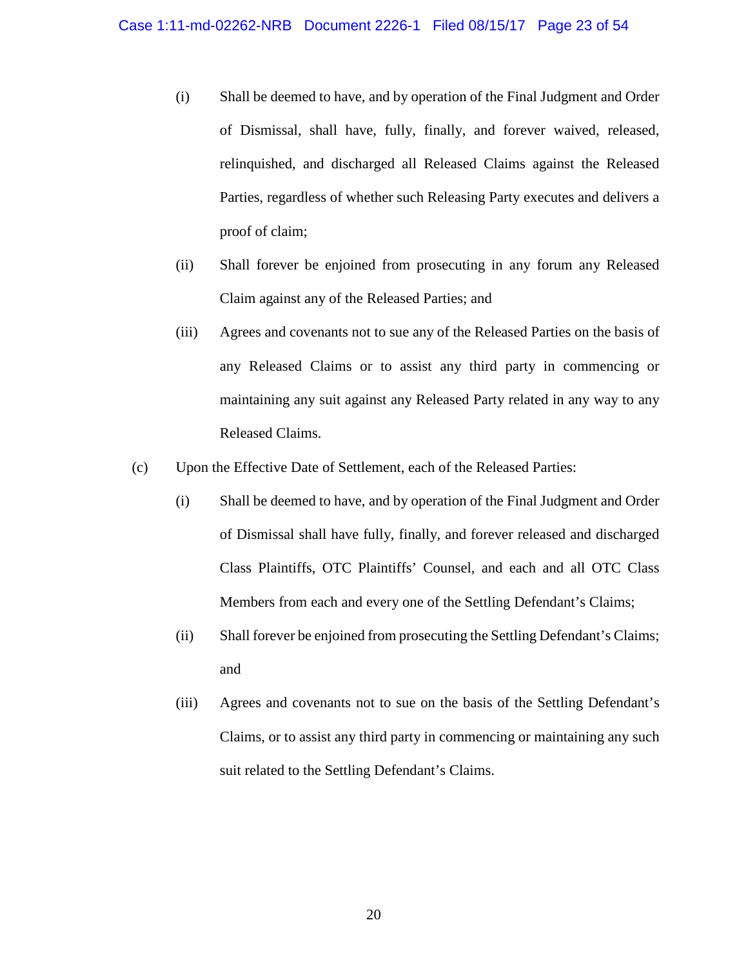- (i) Shall be deemed to have, and by operation of the Final Judgment and Order of Dismissal, shall have, fully, finally, and forever waived, released, relinquished, and discharged all Released Claims against the Released Parties, regardless of whether such Releasing Party executes and delivers a proof of claim;
- (ii) Shall forever be enjoined from prosecuting in any forum any Released Claim against any of the Released Parties; and
- (iii) Agrees and covenants not to sue any of the Released Parties on the basis of any Released Claims or to assist any third party in commencing or maintaining any suit against any Released Party related in any way to any Released Claims.
- (c) Upon the Effective Date of Settlement, each of the Released Parties:
	- (i) Shall be deemed to have, and by operation of the Final Judgment and Order of Dismissal shall have fully, finally, and forever released and discharged Class Plaintiffs, OTC Plaintiffs' Counsel, and each and all OTC Class Members from each and every one of the Settling Defendant's Claims;
	- (ii) Shall forever be enjoined from prosecuting the Settling Defendant's Claims; and
	- (iii) Agrees and covenants not to sue on the basis of the Settling Defendant's Claims, or to assist any third party in commencing or maintaining any such suit related to the Settling Defendant's Claims.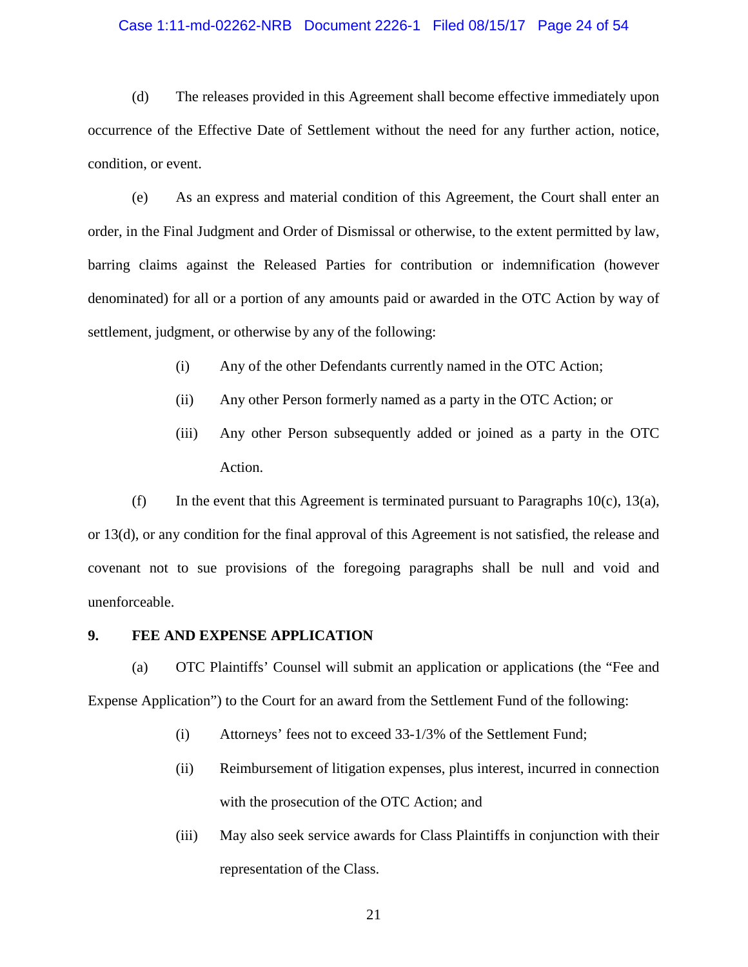#### Case 1:11-md-02262-NRB Document 2226-1 Filed 08/15/17 Page 24 of 54

(d) The releases provided in this Agreement shall become effective immediately upon occurrence of the Effective Date of Settlement without the need for any further action, notice, condition, or event.

(e) As an express and material condition of this Agreement, the Court shall enter an order, in the Final Judgment and Order of Dismissal or otherwise, to the extent permitted by law, barring claims against the Released Parties for contribution or indemnification (however denominated) for all or a portion of any amounts paid or awarded in the OTC Action by way of settlement, judgment, or otherwise by any of the following:

- (i) Any of the other Defendants currently named in the OTC Action;
- (ii) Any other Person formerly named as a party in the OTC Action; or
- (iii) Any other Person subsequently added or joined as a party in the OTC Action.

(f) In the event that this Agreement is terminated pursuant to Paragraphs  $10(c)$ ,  $13(a)$ , or 13(d), or any condition for the final approval of this Agreement is not satisfied, the release and covenant not to sue provisions of the foregoing paragraphs shall be null and void and unenforceable.

#### <span id="page-22-0"></span>**9. FEE AND EXPENSE APPLICATION**

(a) OTC Plaintiffs' Counsel will submit an application or applications (the "Fee and Expense Application") to the Court for an award from the Settlement Fund of the following:

- (i) Attorneys' fees not to exceed 33-1/3% of the Settlement Fund;
- (ii) Reimbursement of litigation expenses, plus interest, incurred in connection with the prosecution of the OTC Action; and
- (iii) May also seek service awards for Class Plaintiffs in conjunction with their representation of the Class.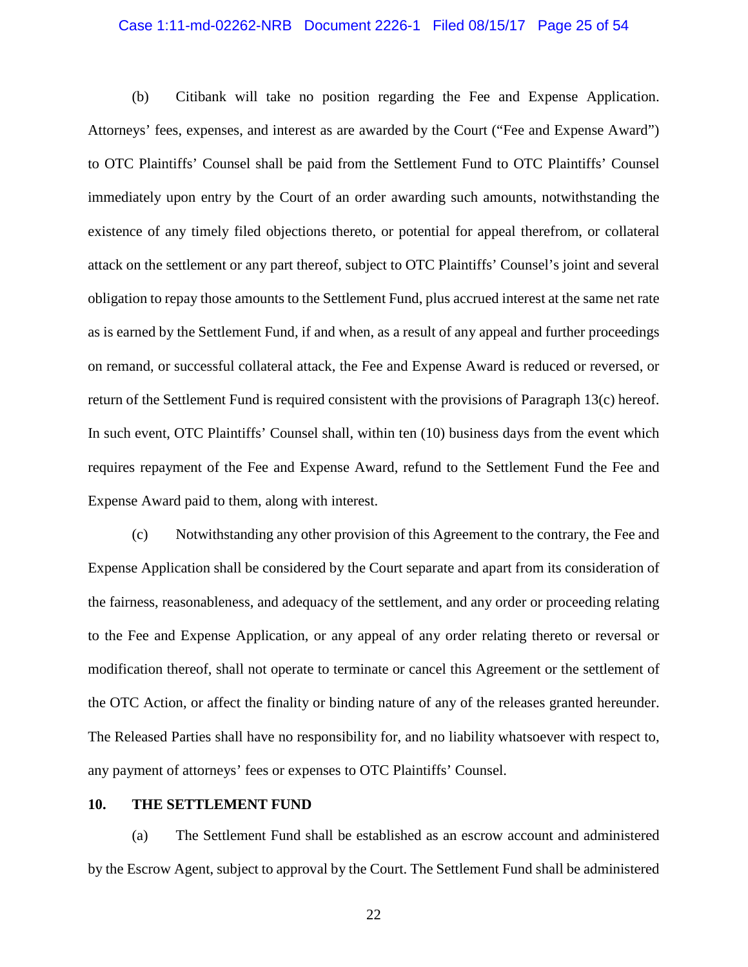#### Case 1:11-md-02262-NRB Document 2226-1 Filed 08/15/17 Page 25 of 54

(b) Citibank will take no position regarding the Fee and Expense Application. Attorneys' fees, expenses, and interest as are awarded by the Court ("Fee and Expense Award") to OTC Plaintiffs' Counsel shall be paid from the Settlement Fund to OTC Plaintiffs' Counsel immediately upon entry by the Court of an order awarding such amounts, notwithstanding the existence of any timely filed objections thereto, or potential for appeal therefrom, or collateral attack on the settlement or any part thereof, subject to OTC Plaintiffs' Counsel's joint and several obligation to repay those amounts to the Settlement Fund, plus accrued interest at the same net rate as is earned by the Settlement Fund, if and when, as a result of any appeal and further proceedings on remand, or successful collateral attack, the Fee and Expense Award is reduced or reversed, or return of the Settlement Fund is required consistent with the provisions of Paragraph 13(c) hereof. In such event, OTC Plaintiffs' Counsel shall, within ten (10) business days from the event which requires repayment of the Fee and Expense Award, refund to the Settlement Fund the Fee and Expense Award paid to them, along with interest.

(c) Notwithstanding any other provision of this Agreement to the contrary, the Fee and Expense Application shall be considered by the Court separate and apart from its consideration of the fairness, reasonableness, and adequacy of the settlement, and any order or proceeding relating to the Fee and Expense Application, or any appeal of any order relating thereto or reversal or modification thereof, shall not operate to terminate or cancel this Agreement or the settlement of the OTC Action, or affect the finality or binding nature of any of the releases granted hereunder. The Released Parties shall have no responsibility for, and no liability whatsoever with respect to, any payment of attorneys' fees or expenses to OTC Plaintiffs' Counsel.

### <span id="page-23-0"></span>**10. THE SETTLEMENT FUND**

(a) The Settlement Fund shall be established as an escrow account and administered by the Escrow Agent, subject to approval by the Court. The Settlement Fund shall be administered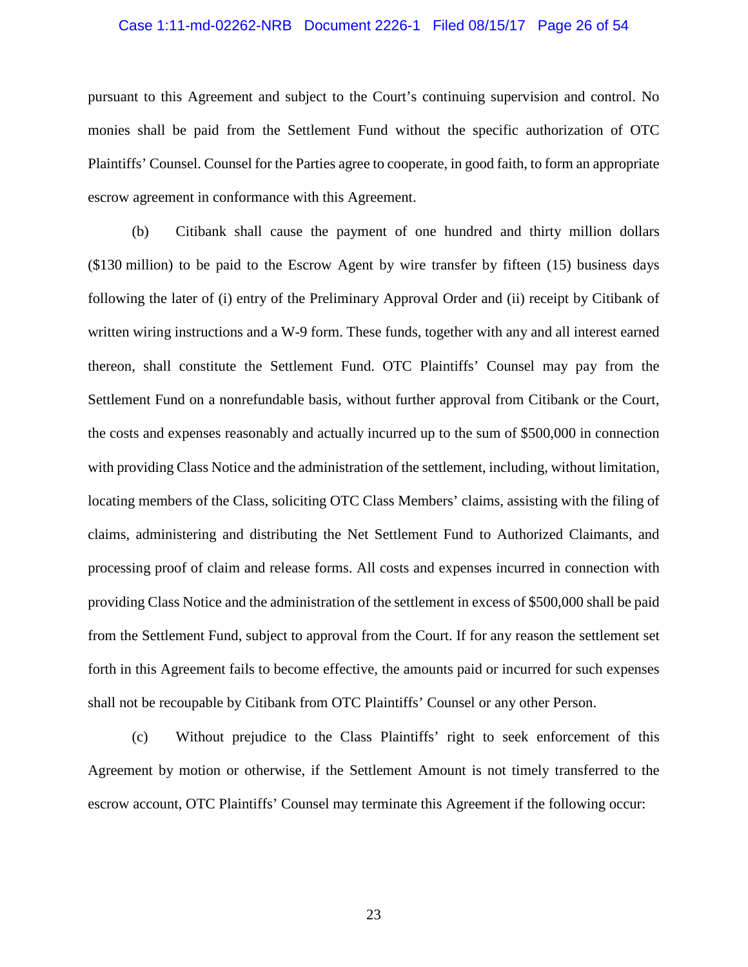# Case 1:11-md-02262-NRB Document 2226-1 Filed 08/15/17 Page 26 of 54

pursuant to this Agreement and subject to the Court's continuing supervision and control. No monies shall be paid from the Settlement Fund without the specific authorization of OTC Plaintiffs' Counsel. Counsel for the Parties agree to cooperate, in good faith, to form an appropriate escrow agreement in conformance with this Agreement.

(b) Citibank shall cause the payment of one hundred and thirty million dollars (\$130 million) to be paid to the Escrow Agent by wire transfer by fifteen (15) business days following the later of (i) entry of the Preliminary Approval Order and (ii) receipt by Citibank of written wiring instructions and a W-9 form. These funds, together with any and all interest earned thereon, shall constitute the Settlement Fund. OTC Plaintiffs' Counsel may pay from the Settlement Fund on a nonrefundable basis, without further approval from Citibank or the Court, the costs and expenses reasonably and actually incurred up to the sum of \$500,000 in connection with providing Class Notice and the administration of the settlement, including, without limitation, locating members of the Class, soliciting OTC Class Members' claims, assisting with the filing of claims, administering and distributing the Net Settlement Fund to Authorized Claimants, and processing proof of claim and release forms. All costs and expenses incurred in connection with providing Class Notice and the administration of the settlement in excess of \$500,000 shall be paid from the Settlement Fund, subject to approval from the Court. If for any reason the settlement set forth in this Agreement fails to become effective, the amounts paid or incurred for such expenses shall not be recoupable by Citibank from OTC Plaintiffs' Counsel or any other Person.

(c) Without prejudice to the Class Plaintiffs' right to seek enforcement of this Agreement by motion or otherwise, if the Settlement Amount is not timely transferred to the escrow account, OTC Plaintiffs' Counsel may terminate this Agreement if the following occur: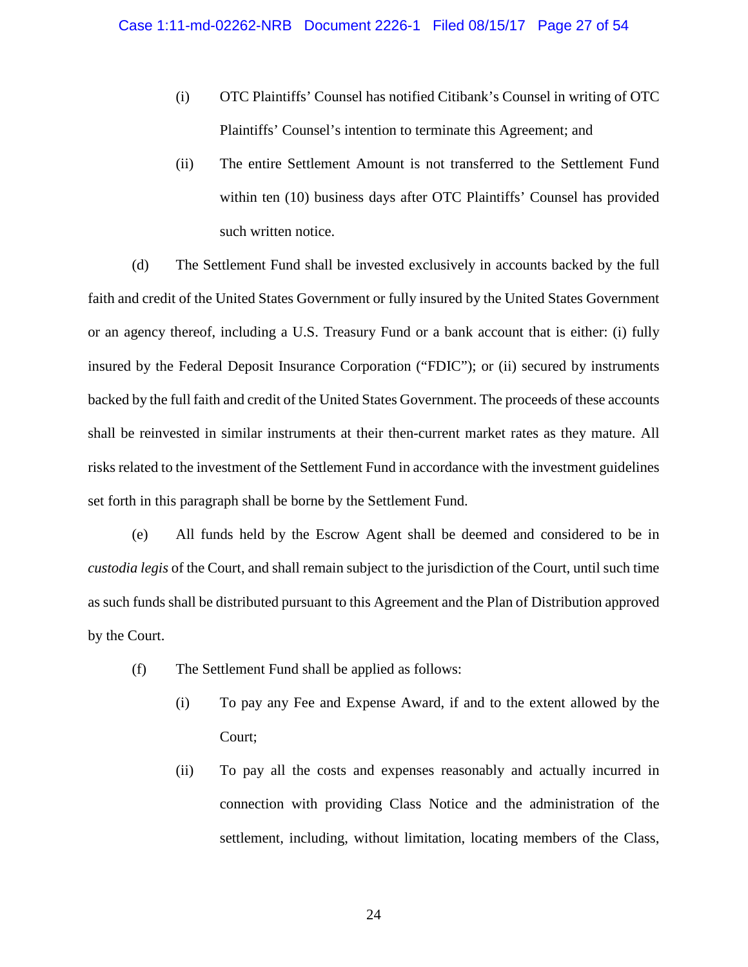- (i) OTC Plaintiffs' Counsel has notified Citibank's Counsel in writing of OTC Plaintiffs' Counsel's intention to terminate this Agreement; and
- (ii) The entire Settlement Amount is not transferred to the Settlement Fund within ten (10) business days after OTC Plaintiffs' Counsel has provided such written notice.

(d) The Settlement Fund shall be invested exclusively in accounts backed by the full faith and credit of the United States Government or fully insured by the United States Government or an agency thereof, including a U.S. Treasury Fund or a bank account that is either: (i) fully insured by the Federal Deposit Insurance Corporation ("FDIC"); or (ii) secured by instruments backed by the full faith and credit of the United States Government. The proceeds of these accounts shall be reinvested in similar instruments at their then-current market rates as they mature. All risks related to the investment of the Settlement Fund in accordance with the investment guidelines set forth in this paragraph shall be borne by the Settlement Fund.

(e) All funds held by the Escrow Agent shall be deemed and considered to be in *custodia legis* of the Court, and shall remain subject to the jurisdiction of the Court, until such time as such funds shall be distributed pursuant to this Agreement and the Plan of Distribution approved by the Court.

- (f) The Settlement Fund shall be applied as follows:
	- (i) To pay any Fee and Expense Award, if and to the extent allowed by the Court;
	- (ii) To pay all the costs and expenses reasonably and actually incurred in connection with providing Class Notice and the administration of the settlement, including, without limitation, locating members of the Class,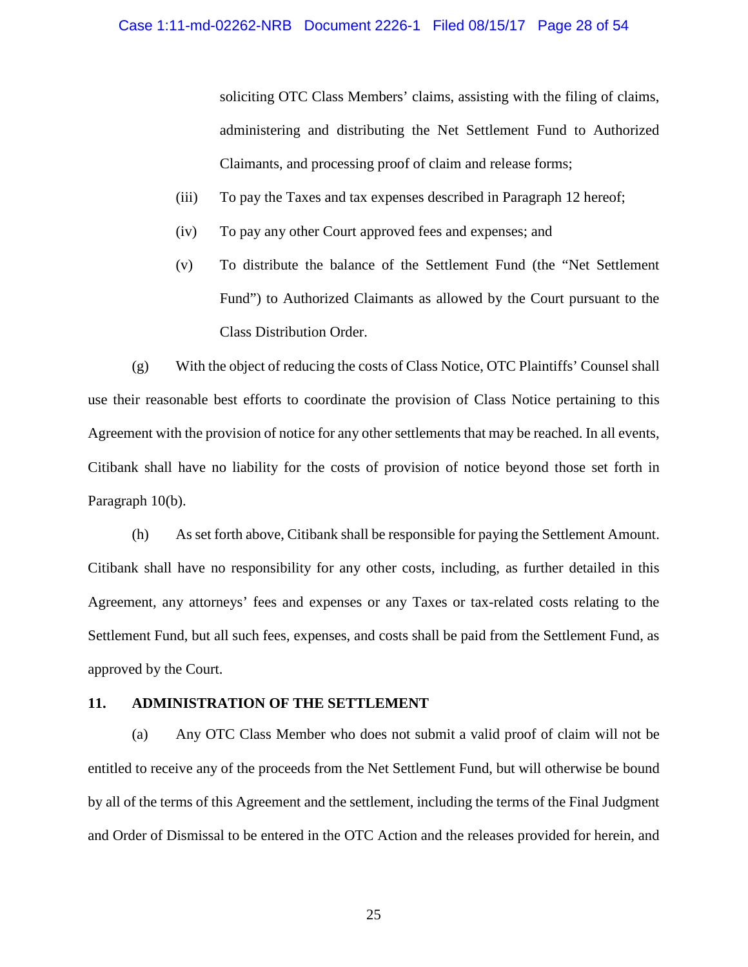soliciting OTC Class Members' claims, assisting with the filing of claims, administering and distributing the Net Settlement Fund to Authorized Claimants, and processing proof of claim and release forms;

- (iii) To pay the Taxes and tax expenses described in Paragraph 12 hereof;
- (iv) To pay any other Court approved fees and expenses; and
- (v) To distribute the balance of the Settlement Fund (the "Net Settlement Fund") to Authorized Claimants as allowed by the Court pursuant to the Class Distribution Order.

(g) With the object of reducing the costs of Class Notice, OTC Plaintiffs' Counsel shall use their reasonable best efforts to coordinate the provision of Class Notice pertaining to this Agreement with the provision of notice for any other settlements that may be reached. In all events, Citibank shall have no liability for the costs of provision of notice beyond those set forth in Paragraph 10(b).

(h) As set forth above, Citibank shall be responsible for paying the Settlement Amount. Citibank shall have no responsibility for any other costs, including, as further detailed in this Agreement, any attorneys' fees and expenses or any Taxes or tax-related costs relating to the Settlement Fund, but all such fees, expenses, and costs shall be paid from the Settlement Fund, as approved by the Court.

### <span id="page-26-0"></span>**11. ADMINISTRATION OF THE SETTLEMENT**

(a) Any OTC Class Member who does not submit a valid proof of claim will not be entitled to receive any of the proceeds from the Net Settlement Fund, but will otherwise be bound by all of the terms of this Agreement and the settlement, including the terms of the Final Judgment and Order of Dismissal to be entered in the OTC Action and the releases provided for herein, and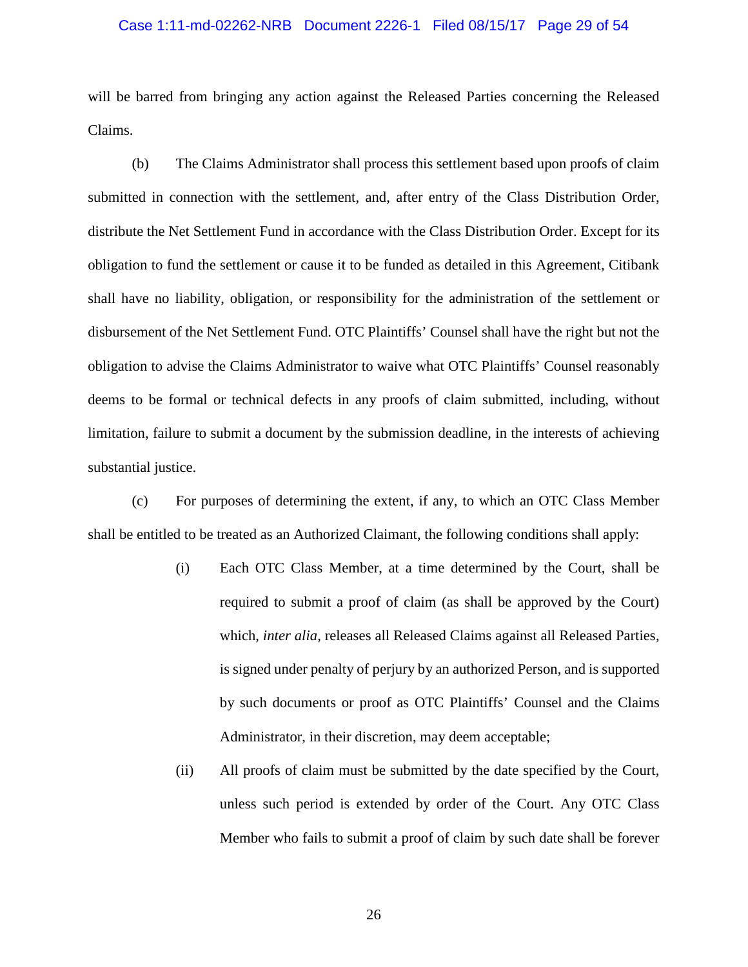# Case 1:11-md-02262-NRB Document 2226-1 Filed 08/15/17 Page 29 of 54

will be barred from bringing any action against the Released Parties concerning the Released Claims.

(b) The Claims Administrator shall process this settlement based upon proofs of claim submitted in connection with the settlement, and, after entry of the Class Distribution Order, distribute the Net Settlement Fund in accordance with the Class Distribution Order. Except for its obligation to fund the settlement or cause it to be funded as detailed in this Agreement, Citibank shall have no liability, obligation, or responsibility for the administration of the settlement or disbursement of the Net Settlement Fund. OTC Plaintiffs' Counsel shall have the right but not the obligation to advise the Claims Administrator to waive what OTC Plaintiffs' Counsel reasonably deems to be formal or technical defects in any proofs of claim submitted, including, without limitation, failure to submit a document by the submission deadline, in the interests of achieving substantial justice.

(c) For purposes of determining the extent, if any, to which an OTC Class Member shall be entitled to be treated as an Authorized Claimant, the following conditions shall apply:

- (i) Each OTC Class Member, at a time determined by the Court, shall be required to submit a proof of claim (as shall be approved by the Court) which, *inter alia*, releases all Released Claims against all Released Parties, is signed under penalty of perjury by an authorized Person, and is supported by such documents or proof as OTC Plaintiffs' Counsel and the Claims Administrator, in their discretion, may deem acceptable;
- (ii) All proofs of claim must be submitted by the date specified by the Court, unless such period is extended by order of the Court. Any OTC Class Member who fails to submit a proof of claim by such date shall be forever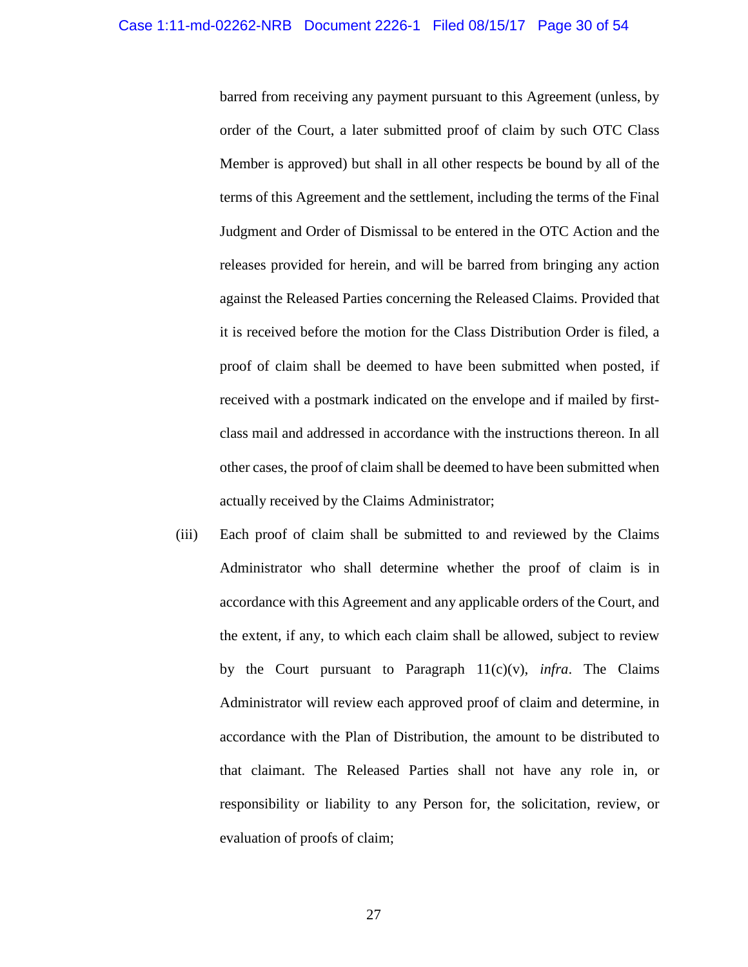barred from receiving any payment pursuant to this Agreement (unless, by order of the Court, a later submitted proof of claim by such OTC Class Member is approved) but shall in all other respects be bound by all of the terms of this Agreement and the settlement, including the terms of the Final Judgment and Order of Dismissal to be entered in the OTC Action and the releases provided for herein, and will be barred from bringing any action against the Released Parties concerning the Released Claims. Provided that it is received before the motion for the Class Distribution Order is filed, a proof of claim shall be deemed to have been submitted when posted, if received with a postmark indicated on the envelope and if mailed by firstclass mail and addressed in accordance with the instructions thereon. In all other cases, the proof of claim shall be deemed to have been submitted when actually received by the Claims Administrator;

(iii) Each proof of claim shall be submitted to and reviewed by the Claims Administrator who shall determine whether the proof of claim is in accordance with this Agreement and any applicable orders of the Court, and the extent, if any, to which each claim shall be allowed, subject to review by the Court pursuant to Paragraph 11(c)(v), *infra*. The Claims Administrator will review each approved proof of claim and determine, in accordance with the Plan of Distribution, the amount to be distributed to that claimant. The Released Parties shall not have any role in, or responsibility or liability to any Person for, the solicitation, review, or evaluation of proofs of claim;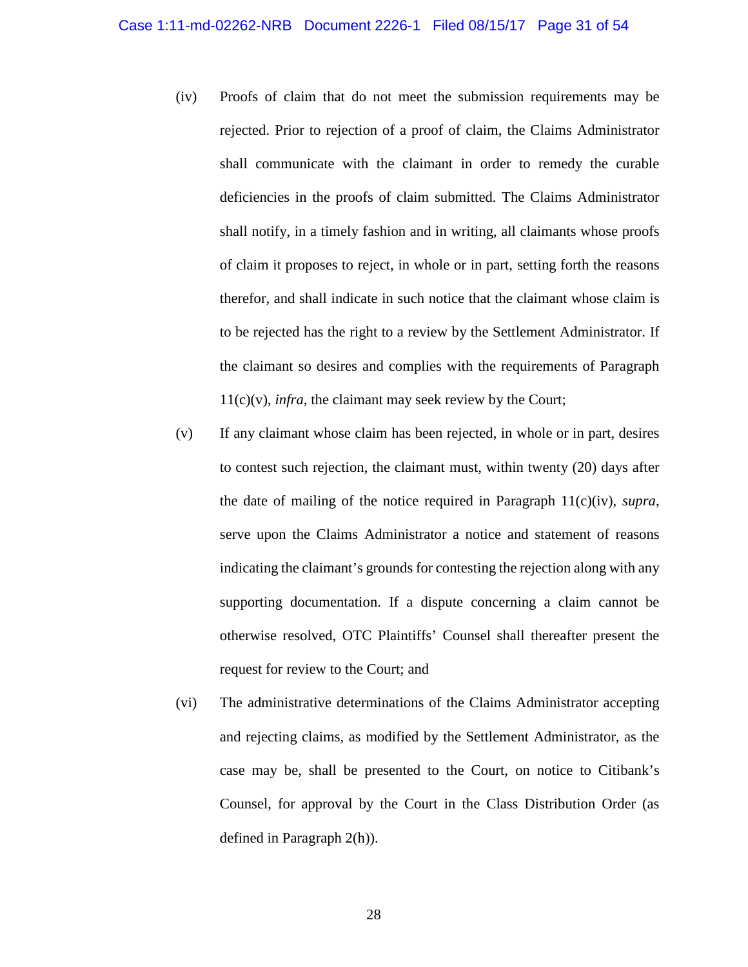- (iv) Proofs of claim that do not meet the submission requirements may be rejected. Prior to rejection of a proof of claim, the Claims Administrator shall communicate with the claimant in order to remedy the curable deficiencies in the proofs of claim submitted. The Claims Administrator shall notify, in a timely fashion and in writing, all claimants whose proofs of claim it proposes to reject, in whole or in part, setting forth the reasons therefor, and shall indicate in such notice that the claimant whose claim is to be rejected has the right to a review by the Settlement Administrator. If the claimant so desires and complies with the requirements of Paragraph 11(c)(v), *infra*, the claimant may seek review by the Court;
- (v) If any claimant whose claim has been rejected, in whole or in part, desires to contest such rejection, the claimant must, within twenty (20) days after the date of mailing of the notice required in Paragraph 11(c)(iv), *supra*, serve upon the Claims Administrator a notice and statement of reasons indicating the claimant's grounds for contesting the rejection along with any supporting documentation. If a dispute concerning a claim cannot be otherwise resolved, OTC Plaintiffs' Counsel shall thereafter present the request for review to the Court; and
- (vi) The administrative determinations of the Claims Administrator accepting and rejecting claims, as modified by the Settlement Administrator, as the case may be, shall be presented to the Court, on notice to Citibank's Counsel, for approval by the Court in the Class Distribution Order (as defined in Paragraph 2(h)).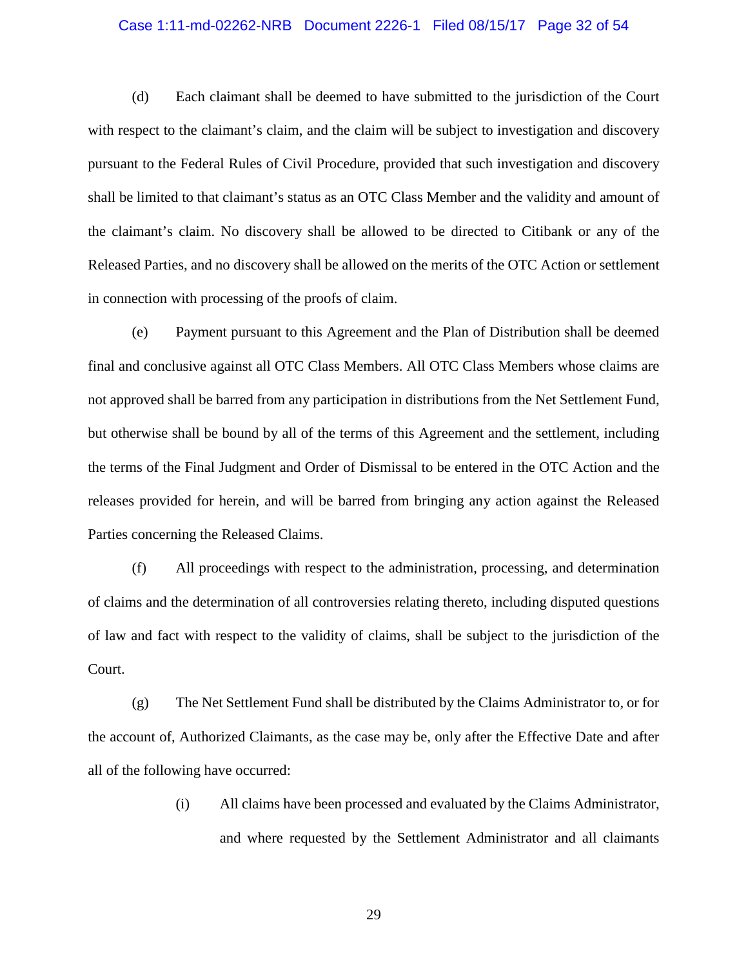# Case 1:11-md-02262-NRB Document 2226-1 Filed 08/15/17 Page 32 of 54

(d) Each claimant shall be deemed to have submitted to the jurisdiction of the Court with respect to the claimant's claim, and the claim will be subject to investigation and discovery pursuant to the Federal Rules of Civil Procedure, provided that such investigation and discovery shall be limited to that claimant's status as an OTC Class Member and the validity and amount of the claimant's claim. No discovery shall be allowed to be directed to Citibank or any of the Released Parties, and no discovery shall be allowed on the merits of the OTC Action or settlement in connection with processing of the proofs of claim.

(e) Payment pursuant to this Agreement and the Plan of Distribution shall be deemed final and conclusive against all OTC Class Members. All OTC Class Members whose claims are not approved shall be barred from any participation in distributions from the Net Settlement Fund, but otherwise shall be bound by all of the terms of this Agreement and the settlement, including the terms of the Final Judgment and Order of Dismissal to be entered in the OTC Action and the releases provided for herein, and will be barred from bringing any action against the Released Parties concerning the Released Claims.

(f) All proceedings with respect to the administration, processing, and determination of claims and the determination of all controversies relating thereto, including disputed questions of law and fact with respect to the validity of claims, shall be subject to the jurisdiction of the Court.

(g) The Net Settlement Fund shall be distributed by the Claims Administrator to, or for the account of, Authorized Claimants, as the case may be, only after the Effective Date and after all of the following have occurred:

> (i) All claims have been processed and evaluated by the Claims Administrator, and where requested by the Settlement Administrator and all claimants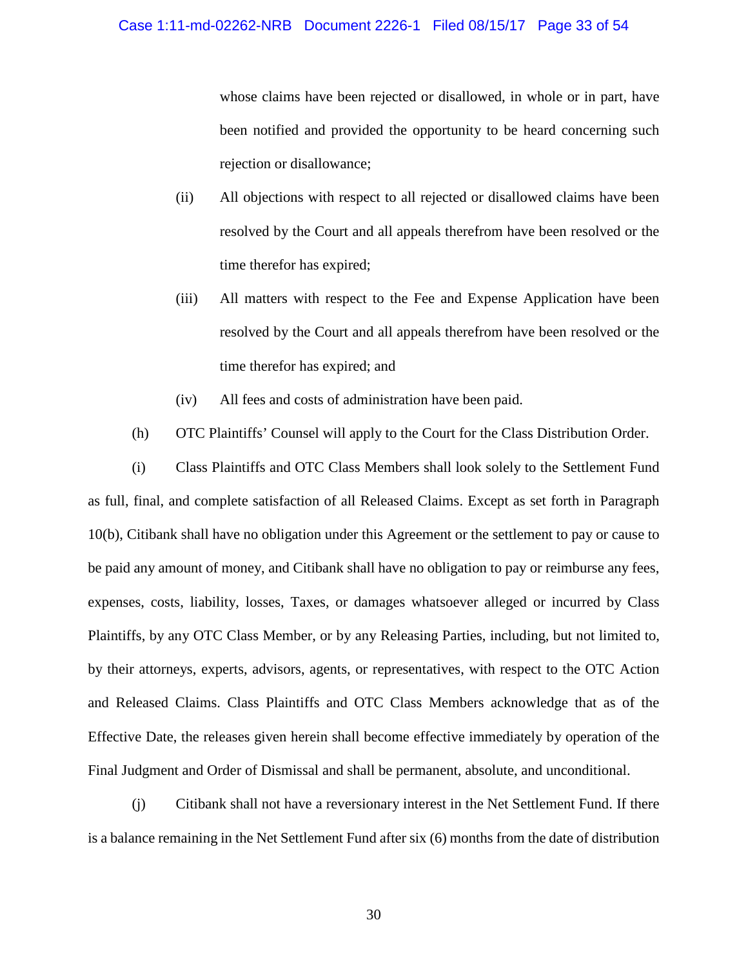whose claims have been rejected or disallowed, in whole or in part, have been notified and provided the opportunity to be heard concerning such rejection or disallowance;

- (ii) All objections with respect to all rejected or disallowed claims have been resolved by the Court and all appeals therefrom have been resolved or the time therefor has expired;
- (iii) All matters with respect to the Fee and Expense Application have been resolved by the Court and all appeals therefrom have been resolved or the time therefor has expired; and
- (iv) All fees and costs of administration have been paid.
- (h) OTC Plaintiffs' Counsel will apply to the Court for the Class Distribution Order.

(i) Class Plaintiffs and OTC Class Members shall look solely to the Settlement Fund as full, final, and complete satisfaction of all Released Claims. Except as set forth in Paragraph 10(b), Citibank shall have no obligation under this Agreement or the settlement to pay or cause to be paid any amount of money, and Citibank shall have no obligation to pay or reimburse any fees, expenses, costs, liability, losses, Taxes, or damages whatsoever alleged or incurred by Class Plaintiffs, by any OTC Class Member, or by any Releasing Parties, including, but not limited to, by their attorneys, experts, advisors, agents, or representatives, with respect to the OTC Action and Released Claims. Class Plaintiffs and OTC Class Members acknowledge that as of the Effective Date, the releases given herein shall become effective immediately by operation of the Final Judgment and Order of Dismissal and shall be permanent, absolute, and unconditional.

(j) Citibank shall not have a reversionary interest in the Net Settlement Fund. If there is a balance remaining in the Net Settlement Fund after six (6) months from the date of distribution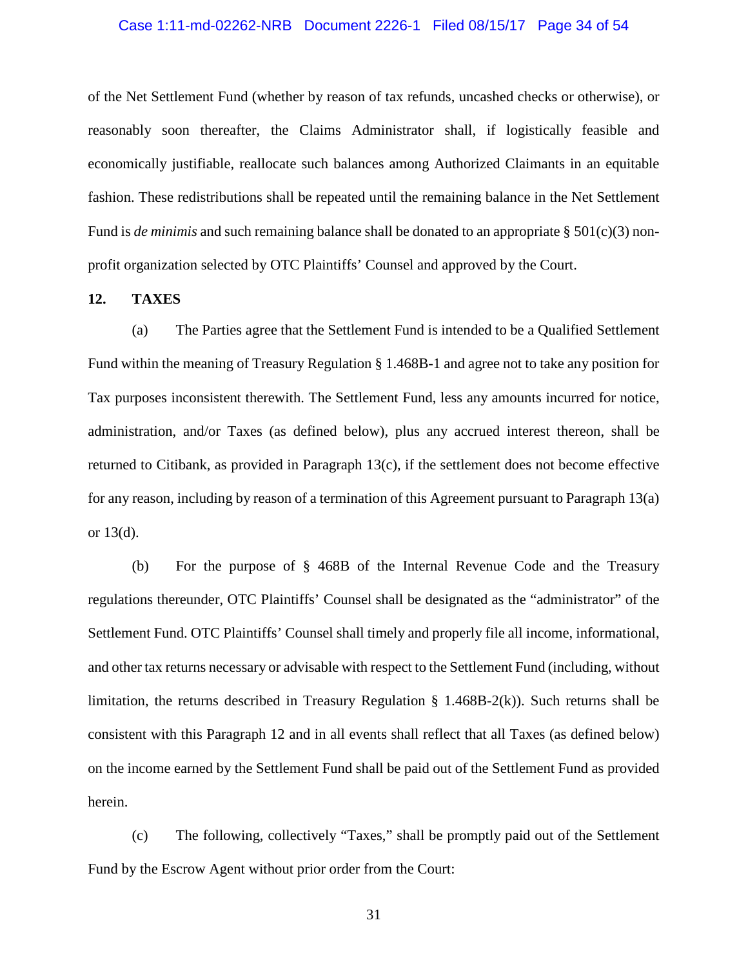# Case 1:11-md-02262-NRB Document 2226-1 Filed 08/15/17 Page 34 of 54

of the Net Settlement Fund (whether by reason of tax refunds, uncashed checks or otherwise), or reasonably soon thereafter, the Claims Administrator shall, if logistically feasible and economically justifiable, reallocate such balances among Authorized Claimants in an equitable fashion. These redistributions shall be repeated until the remaining balance in the Net Settlement Fund is *de minimis* and such remaining balance shall be donated to an appropriate § 501(c)(3) nonprofit organization selected by OTC Plaintiffs' Counsel and approved by the Court.

### <span id="page-32-0"></span>**12. TAXES**

(a) The Parties agree that the Settlement Fund is intended to be a Qualified Settlement Fund within the meaning of Treasury Regulation § 1.468B-1 and agree not to take any position for Tax purposes inconsistent therewith. The Settlement Fund, less any amounts incurred for notice, administration, and/or Taxes (as defined below), plus any accrued interest thereon, shall be returned to Citibank, as provided in Paragraph 13(c), if the settlement does not become effective for any reason, including by reason of a termination of this Agreement pursuant to Paragraph 13(a) or 13(d).

(b) For the purpose of § 468B of the Internal Revenue Code and the Treasury regulations thereunder, OTC Plaintiffs' Counsel shall be designated as the "administrator" of the Settlement Fund. OTC Plaintiffs' Counsel shall timely and properly file all income, informational, and other tax returns necessary or advisable with respect to the Settlement Fund (including, without limitation, the returns described in Treasury Regulation § 1.468B-2(k)). Such returns shall be consistent with this Paragraph 12 and in all events shall reflect that all Taxes (as defined below) on the income earned by the Settlement Fund shall be paid out of the Settlement Fund as provided herein.

(c) The following, collectively "Taxes," shall be promptly paid out of the Settlement Fund by the Escrow Agent without prior order from the Court: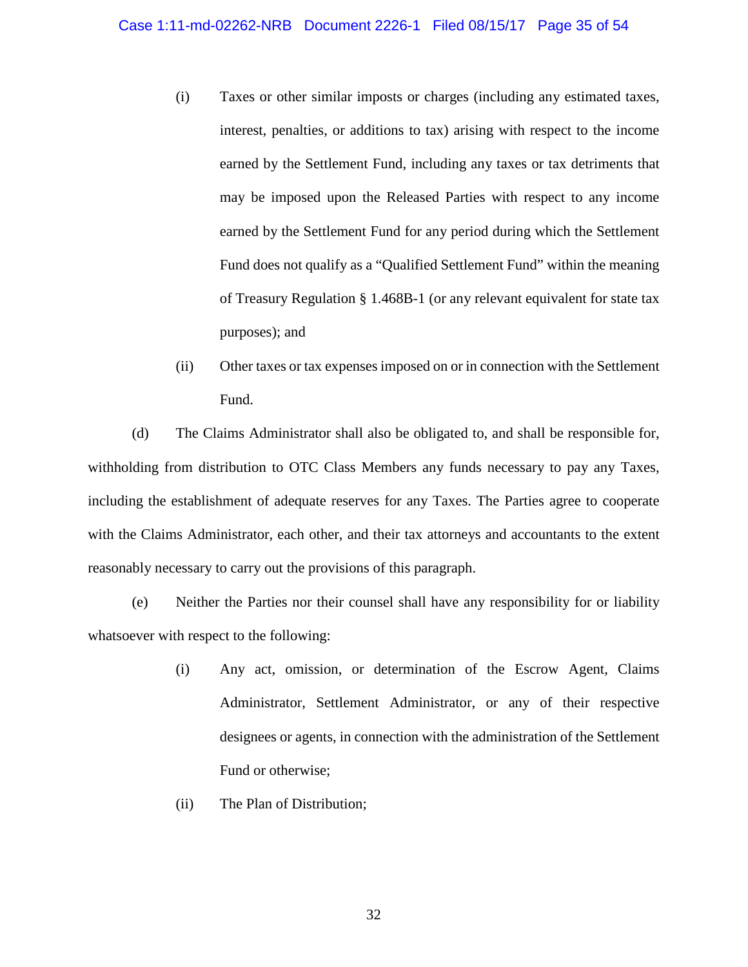- (i) Taxes or other similar imposts or charges (including any estimated taxes, interest, penalties, or additions to tax) arising with respect to the income earned by the Settlement Fund, including any taxes or tax detriments that may be imposed upon the Released Parties with respect to any income earned by the Settlement Fund for any period during which the Settlement Fund does not qualify as a "Qualified Settlement Fund" within the meaning of Treasury Regulation § 1.468B-1 (or any relevant equivalent for state tax purposes); and
- (ii) Other taxes or tax expenses imposed on or in connection with the Settlement Fund.

(d) The Claims Administrator shall also be obligated to, and shall be responsible for, withholding from distribution to OTC Class Members any funds necessary to pay any Taxes, including the establishment of adequate reserves for any Taxes. The Parties agree to cooperate with the Claims Administrator, each other, and their tax attorneys and accountants to the extent reasonably necessary to carry out the provisions of this paragraph.

(e) Neither the Parties nor their counsel shall have any responsibility for or liability whatsoever with respect to the following:

- (i) Any act, omission, or determination of the Escrow Agent, Claims Administrator, Settlement Administrator, or any of their respective designees or agents, in connection with the administration of the Settlement Fund or otherwise;
- (ii) The Plan of Distribution;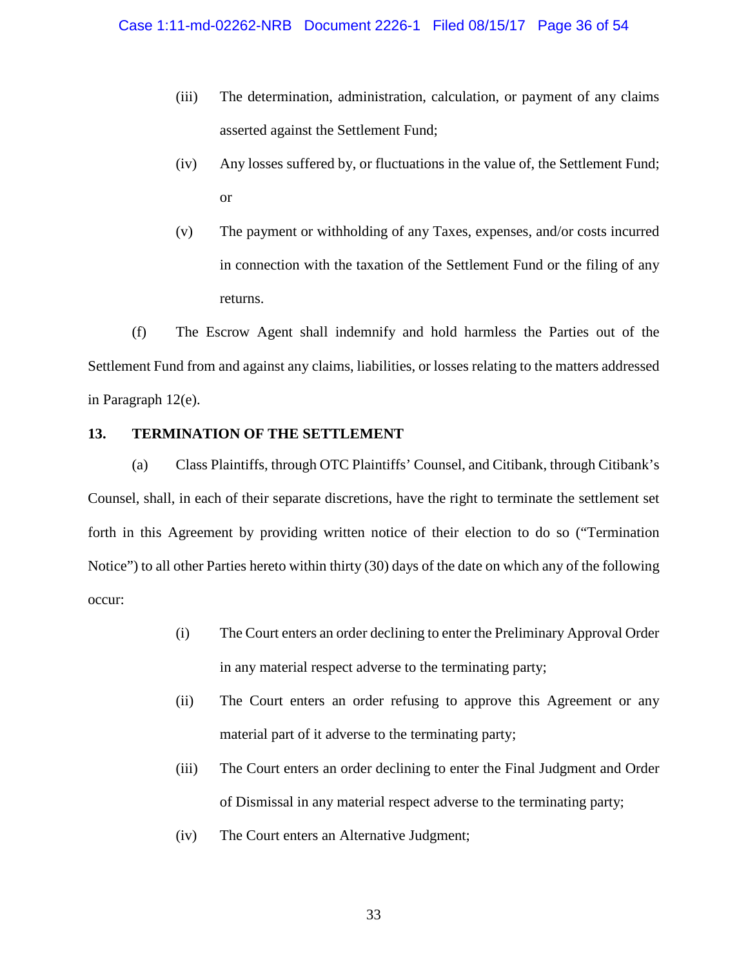- (iii) The determination, administration, calculation, or payment of any claims asserted against the Settlement Fund;
- (iv) Any losses suffered by, or fluctuations in the value of, the Settlement Fund; or
- (v) The payment or withholding of any Taxes, expenses, and/or costs incurred in connection with the taxation of the Settlement Fund or the filing of any returns.

(f) The Escrow Agent shall indemnify and hold harmless the Parties out of the Settlement Fund from and against any claims, liabilities, or losses relating to the matters addressed in Paragraph 12(e).

# <span id="page-34-0"></span>**13. TERMINATION OF THE SETTLEMENT**

(a) Class Plaintiffs, through OTC Plaintiffs' Counsel, and Citibank, through Citibank's Counsel, shall, in each of their separate discretions, have the right to terminate the settlement set forth in this Agreement by providing written notice of their election to do so ("Termination Notice") to all other Parties hereto within thirty (30) days of the date on which any of the following occur:

- (i) The Court enters an order declining to enter the Preliminary Approval Order in any material respect adverse to the terminating party;
- (ii) The Court enters an order refusing to approve this Agreement or any material part of it adverse to the terminating party;
- (iii) The Court enters an order declining to enter the Final Judgment and Order of Dismissal in any material respect adverse to the terminating party;
- (iv) The Court enters an Alternative Judgment;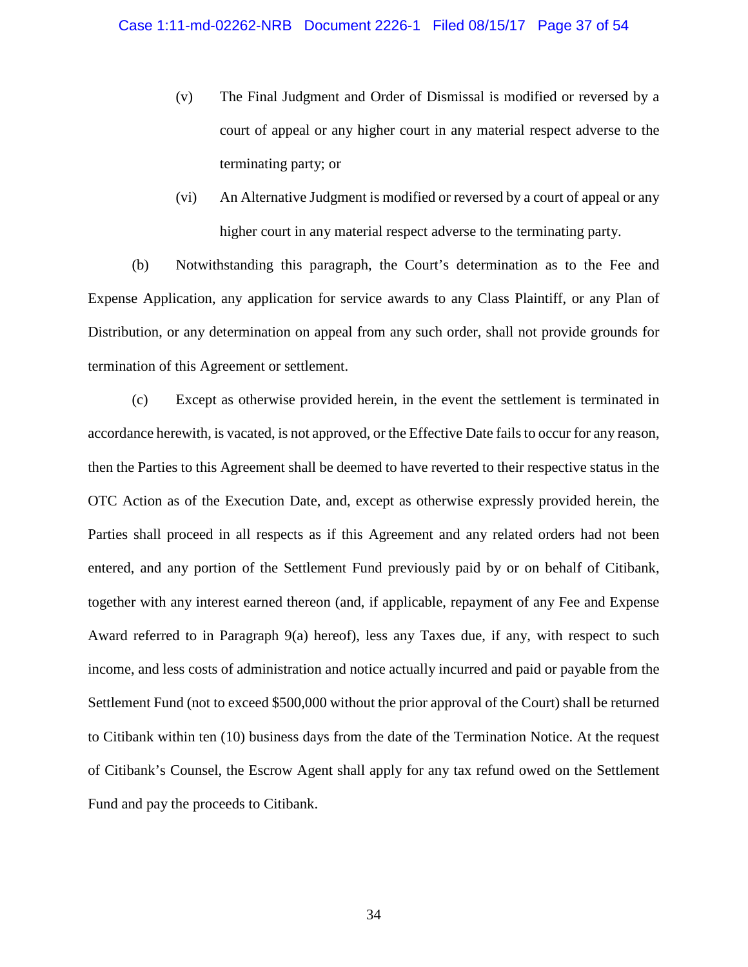- (v) The Final Judgment and Order of Dismissal is modified or reversed by a court of appeal or any higher court in any material respect adverse to the terminating party; or
- (vi) An Alternative Judgment is modified or reversed by a court of appeal or any higher court in any material respect adverse to the terminating party.

(b) Notwithstanding this paragraph, the Court's determination as to the Fee and Expense Application, any application for service awards to any Class Plaintiff, or any Plan of Distribution, or any determination on appeal from any such order, shall not provide grounds for termination of this Agreement or settlement.

(c) Except as otherwise provided herein, in the event the settlement is terminated in accordance herewith, is vacated, is not approved, or the Effective Date fails to occur for any reason, then the Parties to this Agreement shall be deemed to have reverted to their respective status in the OTC Action as of the Execution Date, and, except as otherwise expressly provided herein, the Parties shall proceed in all respects as if this Agreement and any related orders had not been entered, and any portion of the Settlement Fund previously paid by or on behalf of Citibank, together with any interest earned thereon (and, if applicable, repayment of any Fee and Expense Award referred to in Paragraph 9(a) hereof), less any Taxes due, if any, with respect to such income, and less costs of administration and notice actually incurred and paid or payable from the Settlement Fund (not to exceed \$500,000 without the prior approval of the Court) shall be returned to Citibank within ten (10) business days from the date of the Termination Notice. At the request of Citibank's Counsel, the Escrow Agent shall apply for any tax refund owed on the Settlement Fund and pay the proceeds to Citibank.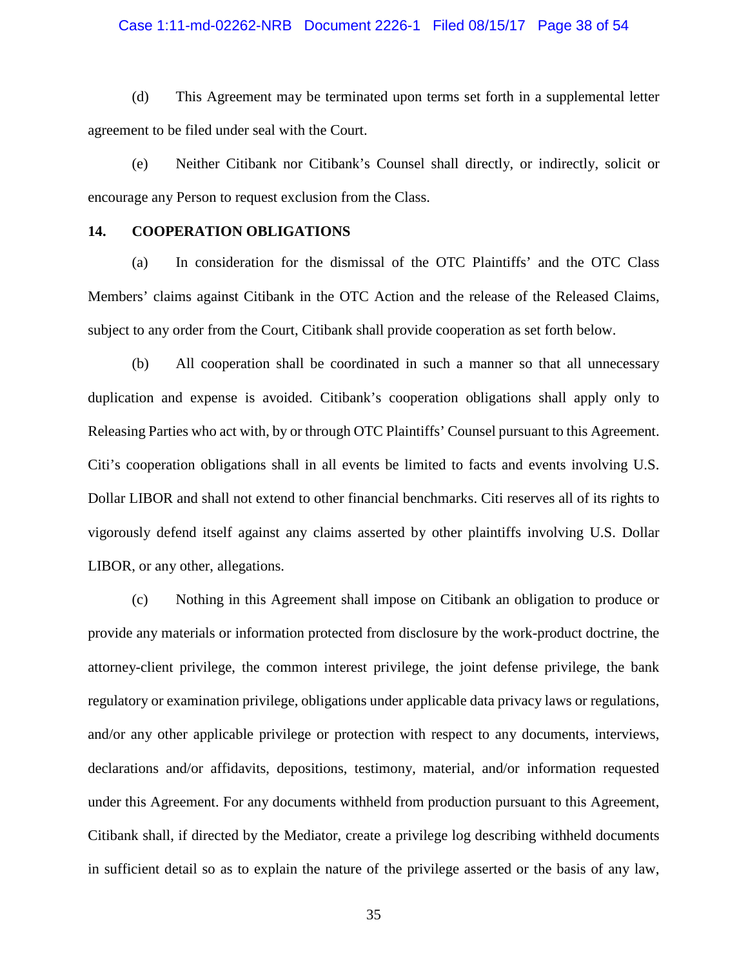### Case 1:11-md-02262-NRB Document 2226-1 Filed 08/15/17 Page 38 of 54

(d) This Agreement may be terminated upon terms set forth in a supplemental letter agreement to be filed under seal with the Court.

(e) Neither Citibank nor Citibank's Counsel shall directly, or indirectly, solicit or encourage any Person to request exclusion from the Class.

### <span id="page-36-0"></span>**14. COOPERATION OBLIGATIONS**

(a) In consideration for the dismissal of the OTC Plaintiffs' and the OTC Class Members' claims against Citibank in the OTC Action and the release of the Released Claims, subject to any order from the Court, Citibank shall provide cooperation as set forth below.

(b) All cooperation shall be coordinated in such a manner so that all unnecessary duplication and expense is avoided. Citibank's cooperation obligations shall apply only to Releasing Parties who act with, by or through OTC Plaintiffs' Counsel pursuant to this Agreement. Citi's cooperation obligations shall in all events be limited to facts and events involving U.S. Dollar LIBOR and shall not extend to other financial benchmarks. Citi reserves all of its rights to vigorously defend itself against any claims asserted by other plaintiffs involving U.S. Dollar LIBOR, or any other, allegations.

(c) Nothing in this Agreement shall impose on Citibank an obligation to produce or provide any materials or information protected from disclosure by the work-product doctrine, the attorney-client privilege, the common interest privilege, the joint defense privilege, the bank regulatory or examination privilege, obligations under applicable data privacy laws or regulations, and/or any other applicable privilege or protection with respect to any documents, interviews, declarations and/or affidavits, depositions, testimony, material, and/or information requested under this Agreement. For any documents withheld from production pursuant to this Agreement, Citibank shall, if directed by the Mediator, create a privilege log describing withheld documents in sufficient detail so as to explain the nature of the privilege asserted or the basis of any law,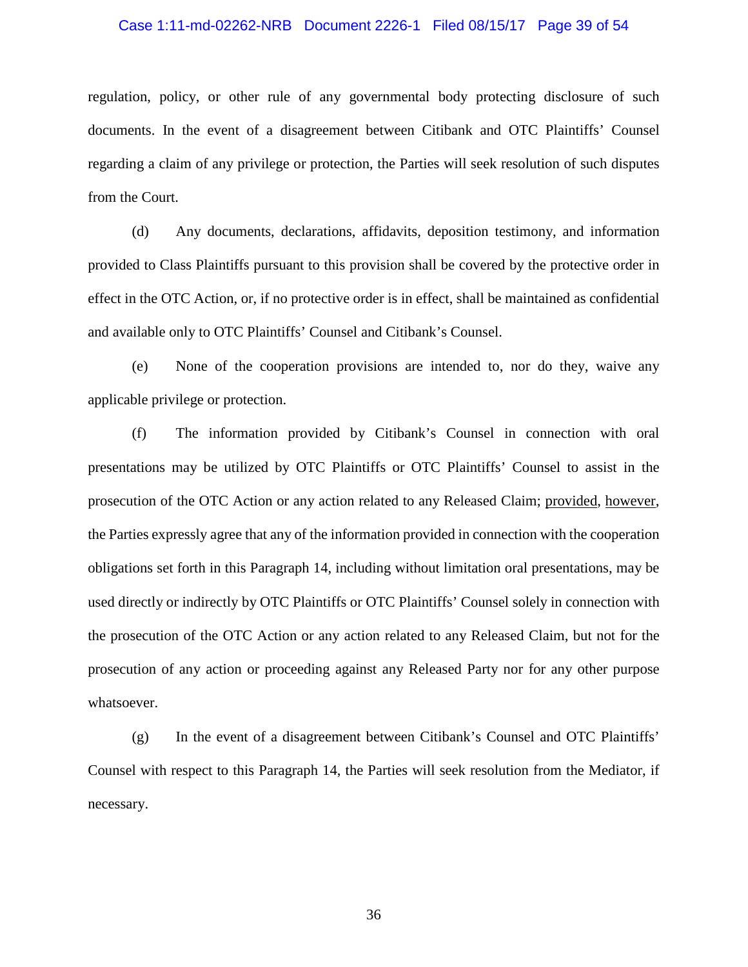### Case 1:11-md-02262-NRB Document 2226-1 Filed 08/15/17 Page 39 of 54

regulation, policy, or other rule of any governmental body protecting disclosure of such documents. In the event of a disagreement between Citibank and OTC Plaintiffs' Counsel regarding a claim of any privilege or protection, the Parties will seek resolution of such disputes from the Court.

(d) Any documents, declarations, affidavits, deposition testimony, and information provided to Class Plaintiffs pursuant to this provision shall be covered by the protective order in effect in the OTC Action, or, if no protective order is in effect, shall be maintained as confidential and available only to OTC Plaintiffs' Counsel and Citibank's Counsel.

(e) None of the cooperation provisions are intended to, nor do they, waive any applicable privilege or protection.

(f) The information provided by Citibank's Counsel in connection with oral presentations may be utilized by OTC Plaintiffs or OTC Plaintiffs' Counsel to assist in the prosecution of the OTC Action or any action related to any Released Claim; provided, however, the Parties expressly agree that any of the information provided in connection with the cooperation obligations set forth in this Paragraph 14, including without limitation oral presentations, may be used directly or indirectly by OTC Plaintiffs or OTC Plaintiffs' Counsel solely in connection with the prosecution of the OTC Action or any action related to any Released Claim, but not for the prosecution of any action or proceeding against any Released Party nor for any other purpose whatsoever.

(g) In the event of a disagreement between Citibank's Counsel and OTC Plaintiffs' Counsel with respect to this Paragraph 14, the Parties will seek resolution from the Mediator, if necessary.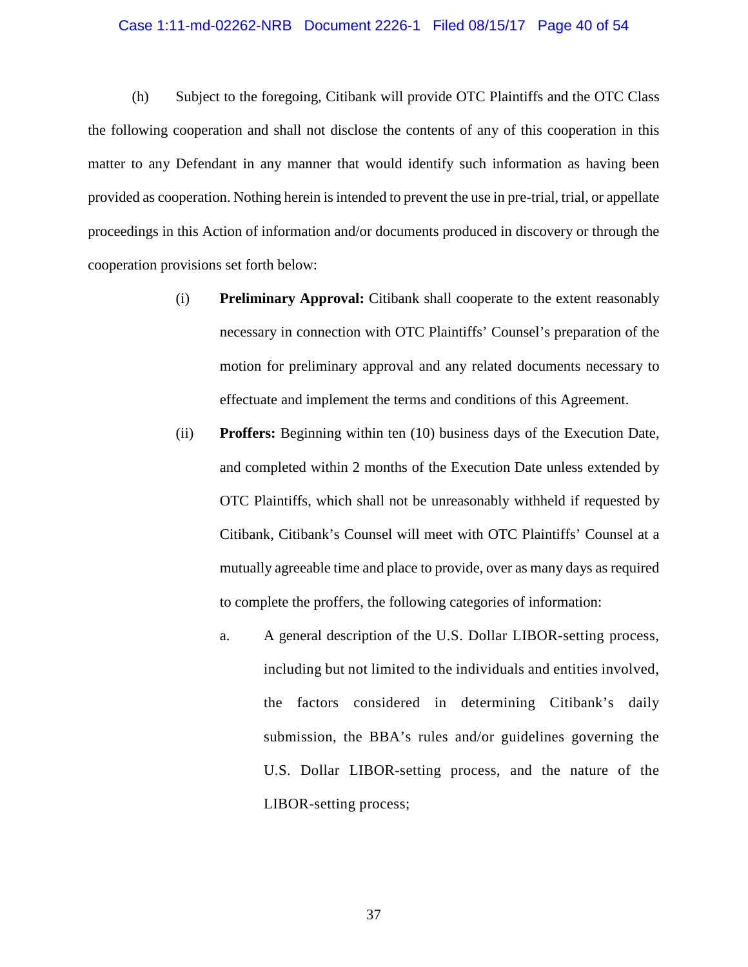#### Case 1:11-md-02262-NRB Document 2226-1 Filed 08/15/17 Page 40 of 54

(h) Subject to the foregoing, Citibank will provide OTC Plaintiffs and the OTC Class the following cooperation and shall not disclose the contents of any of this cooperation in this matter to any Defendant in any manner that would identify such information as having been provided as cooperation. Nothing herein is intended to prevent the use in pre-trial, trial, or appellate proceedings in this Action of information and/or documents produced in discovery or through the cooperation provisions set forth below:

- (i) **Preliminary Approval:** Citibank shall cooperate to the extent reasonably necessary in connection with OTC Plaintiffs' Counsel's preparation of the motion for preliminary approval and any related documents necessary to effectuate and implement the terms and conditions of this Agreement.
- (ii) **Proffers:** Beginning within ten (10) business days of the Execution Date, and completed within 2 months of the Execution Date unless extended by OTC Plaintiffs, which shall not be unreasonably withheld if requested by Citibank, Citibank's Counsel will meet with OTC Plaintiffs' Counsel at a mutually agreeable time and place to provide, over as many days as required to complete the proffers, the following categories of information:
	- a. A general description of the U.S. Dollar LIBOR-setting process, including but not limited to the individuals and entities involved, the factors considered in determining Citibank's daily submission, the BBA's rules and/or guidelines governing the U.S. Dollar LIBOR-setting process, and the nature of the LIBOR-setting process;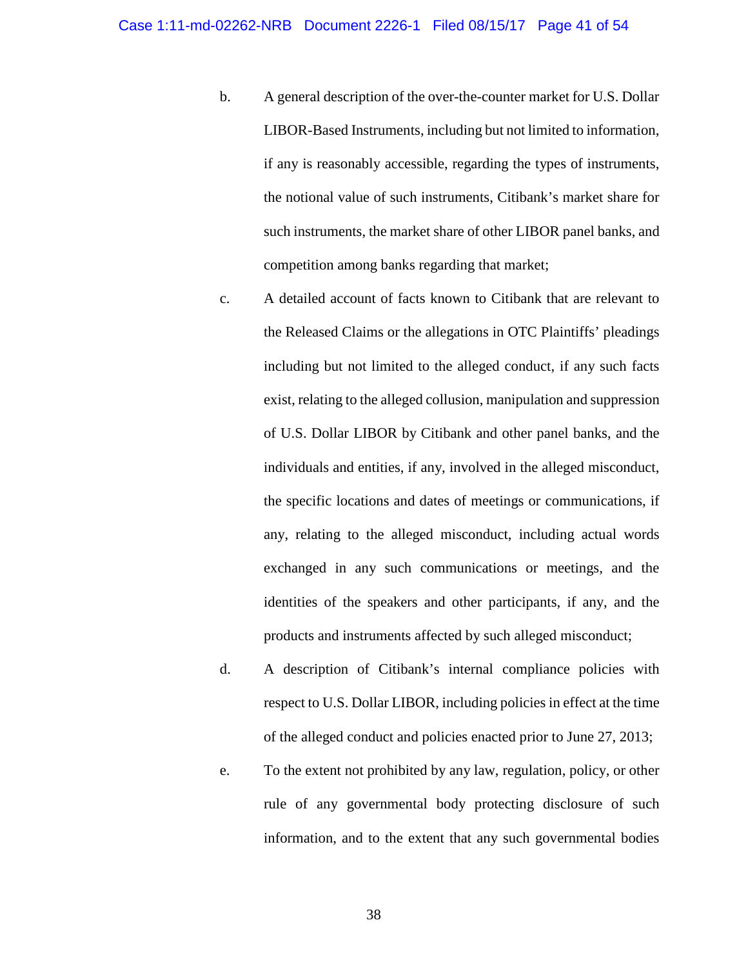- b. A general description of the over-the-counter market for U.S. Dollar LIBOR-Based Instruments, including but not limited to information, if any is reasonably accessible, regarding the types of instruments, the notional value of such instruments, Citibank's market share for such instruments, the market share of other LIBOR panel banks, and competition among banks regarding that market;
- c. A detailed account of facts known to Citibank that are relevant to the Released Claims or the allegations in OTC Plaintiffs' pleadings including but not limited to the alleged conduct, if any such facts exist, relating to the alleged collusion, manipulation and suppression of U.S. Dollar LIBOR by Citibank and other panel banks, and the individuals and entities, if any, involved in the alleged misconduct, the specific locations and dates of meetings or communications, if any, relating to the alleged misconduct, including actual words exchanged in any such communications or meetings, and the identities of the speakers and other participants, if any, and the products and instruments affected by such alleged misconduct;
- d. A description of Citibank's internal compliance policies with respect to U.S. Dollar LIBOR, including policies in effect at the time of the alleged conduct and policies enacted prior to June 27, 2013;
- e. To the extent not prohibited by any law, regulation, policy, or other rule of any governmental body protecting disclosure of such information, and to the extent that any such governmental bodies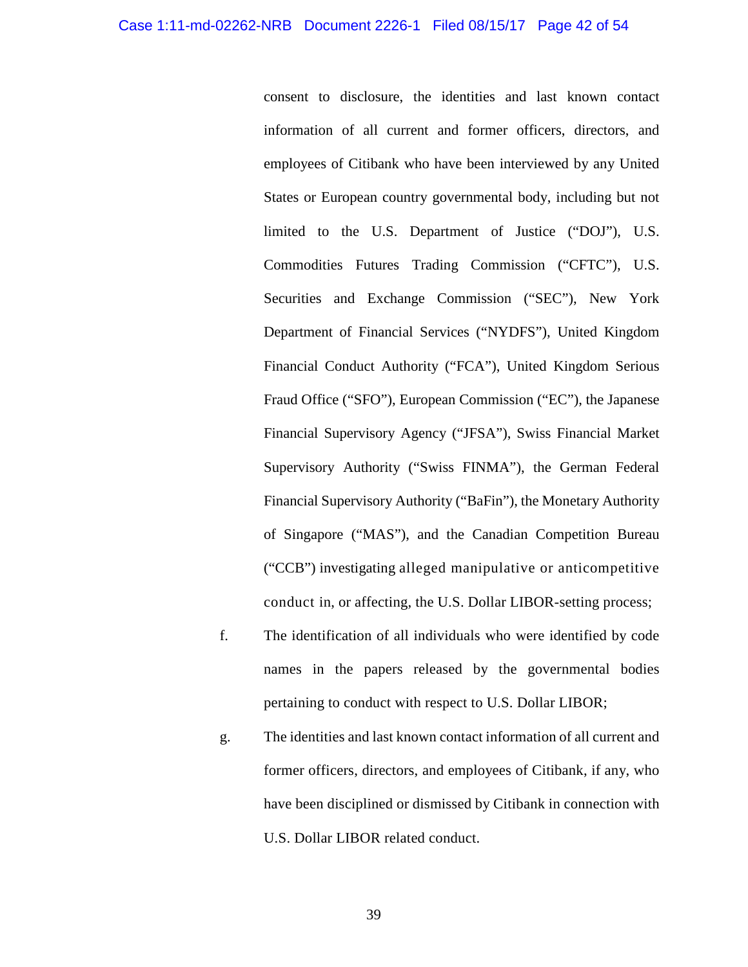consent to disclosure, the identities and last known contact information of all current and former officers, directors, and employees of Citibank who have been interviewed by any United States or European country governmental body, including but not limited to the U.S. Department of Justice ("DOJ"), U.S. Commodities Futures Trading Commission ("CFTC"), U.S. Securities and Exchange Commission ("SEC"), New York Department of Financial Services ("NYDFS"), United Kingdom Financial Conduct Authority ("FCA"), United Kingdom Serious Fraud Office ("SFO"), European Commission ("EC"), the Japanese Financial Supervisory Agency ("JFSA"), Swiss Financial Market Supervisory Authority ("Swiss FINMA"), the German Federal Financial Supervisory Authority ("BaFin"), the Monetary Authority of Singapore ("MAS"), and the Canadian Competition Bureau ("CCB") investigating alleged manipulative or anticompetitive conduct in, or affecting, the U.S. Dollar LIBOR-setting process;

- f. The identification of all individuals who were identified by code names in the papers released by the governmental bodies pertaining to conduct with respect to U.S. Dollar LIBOR;
- g. The identities and last known contact information of all current and former officers, directors, and employees of Citibank, if any, who have been disciplined or dismissed by Citibank in connection with U.S. Dollar LIBOR related conduct.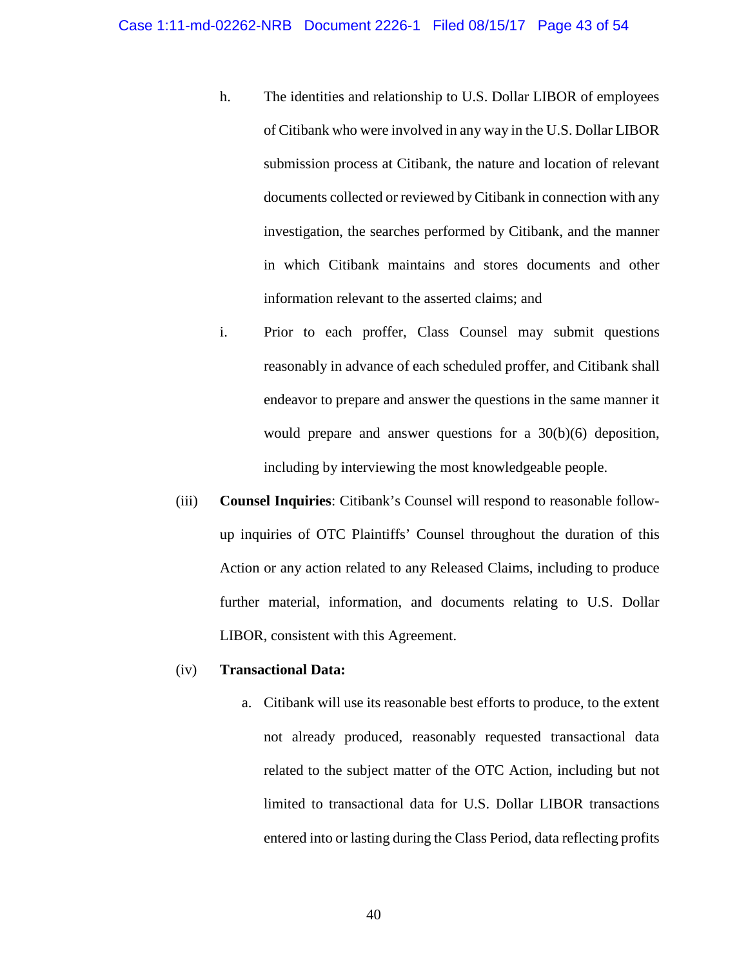- h. The identities and relationship to U.S. Dollar LIBOR of employees of Citibank who were involved in any way in the U.S. Dollar LIBOR submission process at Citibank, the nature and location of relevant documents collected or reviewed by Citibank in connection with any investigation, the searches performed by Citibank, and the manner in which Citibank maintains and stores documents and other information relevant to the asserted claims; and
- i. Prior to each proffer, Class Counsel may submit questions reasonably in advance of each scheduled proffer, and Citibank shall endeavor to prepare and answer the questions in the same manner it would prepare and answer questions for a 30(b)(6) deposition, including by interviewing the most knowledgeable people.
- (iii) **Counsel Inquiries**: Citibank's Counsel will respond to reasonable followup inquiries of OTC Plaintiffs' Counsel throughout the duration of this Action or any action related to any Released Claims, including to produce further material, information, and documents relating to U.S. Dollar LIBOR, consistent with this Agreement.

### (iv) **Transactional Data:**

a. Citibank will use its reasonable best efforts to produce, to the extent not already produced, reasonably requested transactional data related to the subject matter of the OTC Action, including but not limited to transactional data for U.S. Dollar LIBOR transactions entered into or lasting during the Class Period, data reflecting profits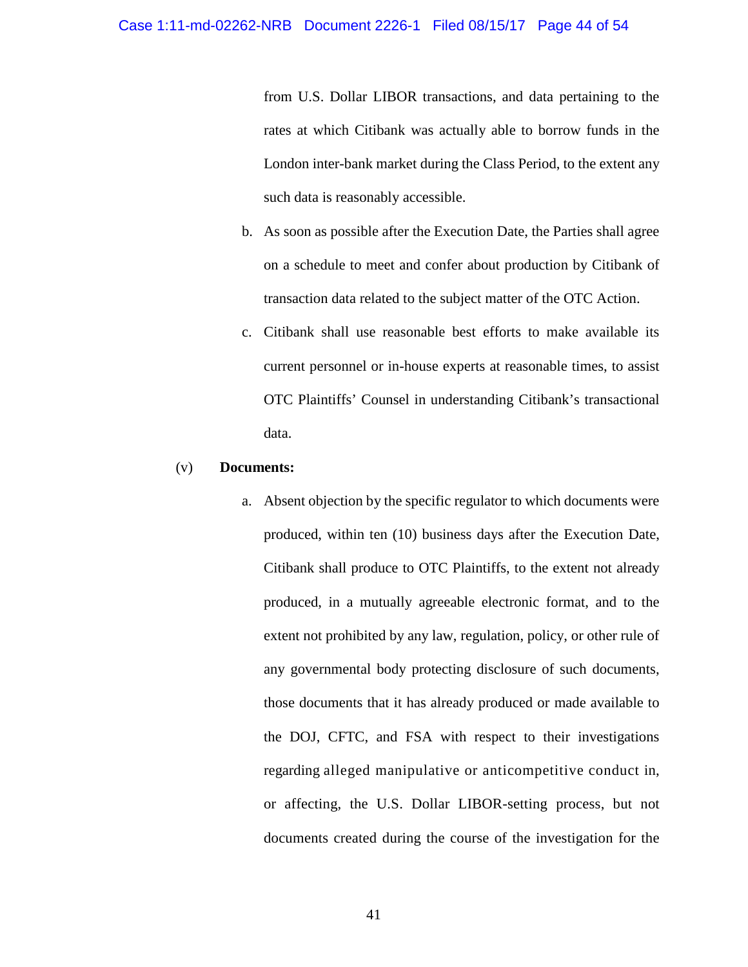from U.S. Dollar LIBOR transactions, and data pertaining to the rates at which Citibank was actually able to borrow funds in the London inter-bank market during the Class Period, to the extent any such data is reasonably accessible.

- b. As soon as possible after the Execution Date, the Parties shall agree on a schedule to meet and confer about production by Citibank of transaction data related to the subject matter of the OTC Action.
- c. Citibank shall use reasonable best efforts to make available its current personnel or in-house experts at reasonable times, to assist OTC Plaintiffs' Counsel in understanding Citibank's transactional data.

### (v) **Documents:**

a. Absent objection by the specific regulator to which documents were produced, within ten (10) business days after the Execution Date, Citibank shall produce to OTC Plaintiffs, to the extent not already produced, in a mutually agreeable electronic format, and to the extent not prohibited by any law, regulation, policy, or other rule of any governmental body protecting disclosure of such documents, those documents that it has already produced or made available to the DOJ, CFTC, and FSA with respect to their investigations regarding alleged manipulative or anticompetitive conduct in, or affecting, the U.S. Dollar LIBOR-setting process, but not documents created during the course of the investigation for the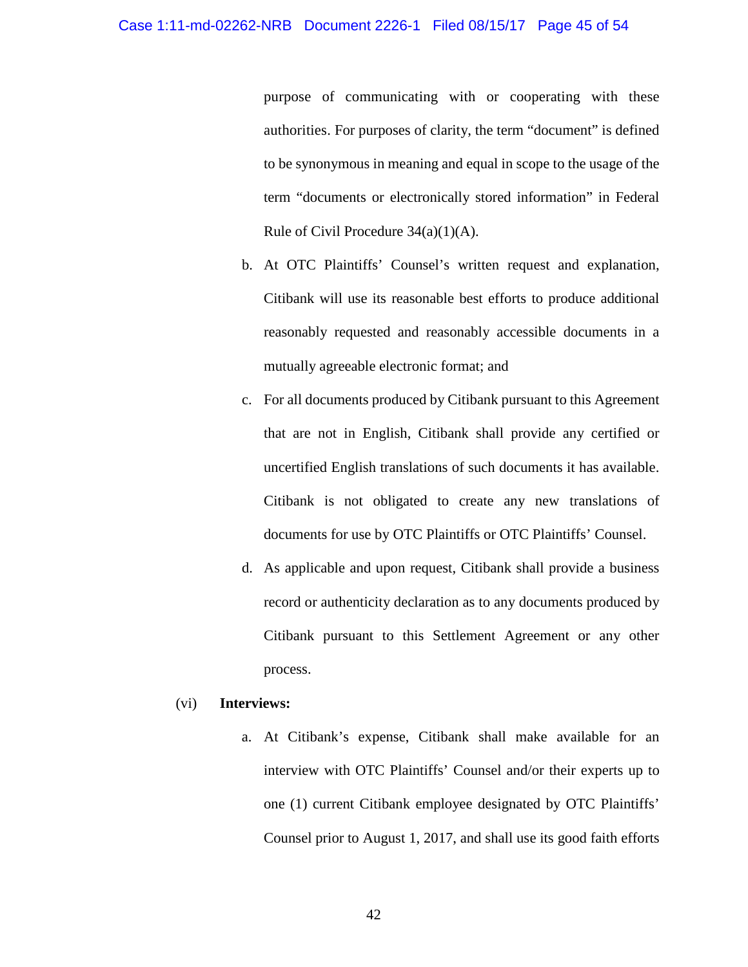purpose of communicating with or cooperating with these authorities. For purposes of clarity, the term "document" is defined to be synonymous in meaning and equal in scope to the usage of the term "documents or electronically stored information" in Federal Rule of Civil Procedure  $34(a)(1)(A)$ .

- b. At OTC Plaintiffs' Counsel's written request and explanation, Citibank will use its reasonable best efforts to produce additional reasonably requested and reasonably accessible documents in a mutually agreeable electronic format; and
- c. For all documents produced by Citibank pursuant to this Agreement that are not in English, Citibank shall provide any certified or uncertified English translations of such documents it has available. Citibank is not obligated to create any new translations of documents for use by OTC Plaintiffs or OTC Plaintiffs' Counsel.
- d. As applicable and upon request, Citibank shall provide a business record or authenticity declaration as to any documents produced by Citibank pursuant to this Settlement Agreement or any other process.

### (vi) **Interviews:**

a. At Citibank's expense, Citibank shall make available for an interview with OTC Plaintiffs' Counsel and/or their experts up to one (1) current Citibank employee designated by OTC Plaintiffs' Counsel prior to August 1, 2017, and shall use its good faith efforts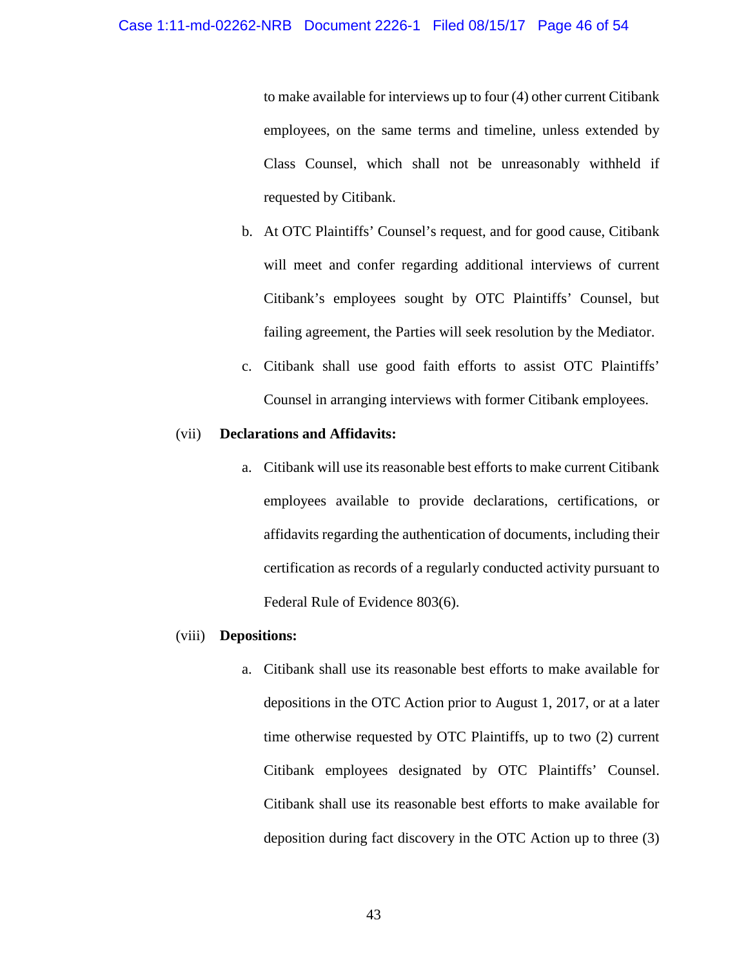to make available for interviews up to four (4) other current Citibank employees, on the same terms and timeline, unless extended by Class Counsel, which shall not be unreasonably withheld if requested by Citibank.

- b. At OTC Plaintiffs' Counsel's request, and for good cause, Citibank will meet and confer regarding additional interviews of current Citibank's employees sought by OTC Plaintiffs' Counsel, but failing agreement, the Parties will seek resolution by the Mediator.
- c. Citibank shall use good faith efforts to assist OTC Plaintiffs' Counsel in arranging interviews with former Citibank employees.

### (vii) **Declarations and Affidavits:**

a. Citibank will use its reasonable best efforts to make current Citibank employees available to provide declarations, certifications, or affidavits regarding the authentication of documents, including their certification as records of a regularly conducted activity pursuant to Federal Rule of Evidence 803(6).

#### (viii) **Depositions:**

a. Citibank shall use its reasonable best efforts to make available for depositions in the OTC Action prior to August 1, 2017, or at a later time otherwise requested by OTC Plaintiffs, up to two (2) current Citibank employees designated by OTC Plaintiffs' Counsel. Citibank shall use its reasonable best efforts to make available for deposition during fact discovery in the OTC Action up to three (3)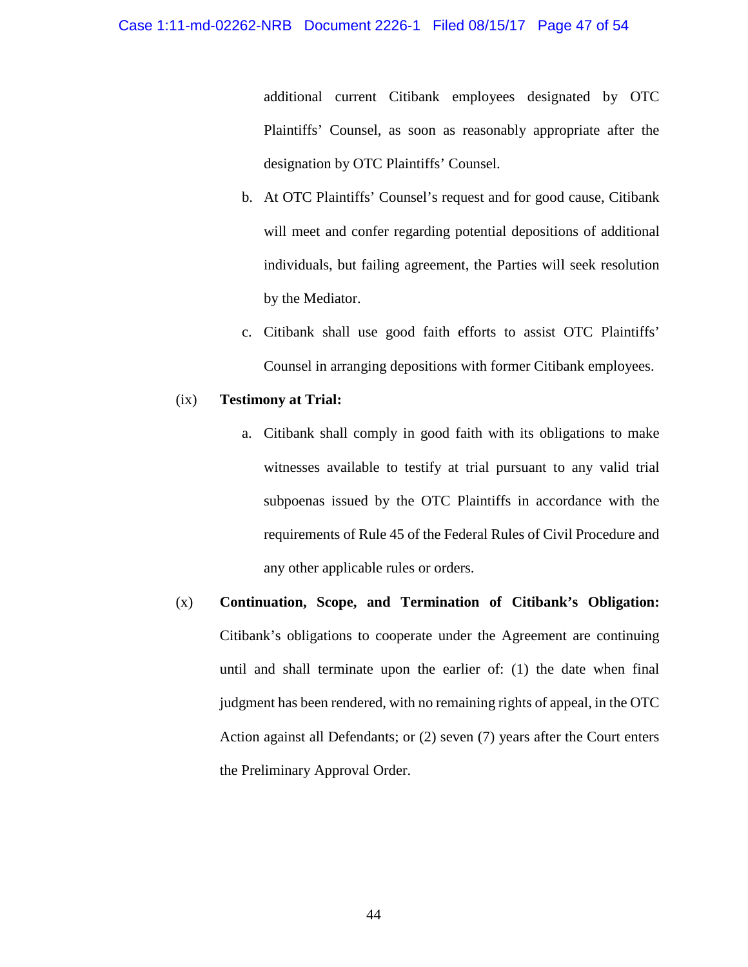### Case 1:11-md-02262-NRB Document 2226-1 Filed 08/15/17 Page 47 of 54

additional current Citibank employees designated by OTC Plaintiffs' Counsel, as soon as reasonably appropriate after the designation by OTC Plaintiffs' Counsel.

- b. At OTC Plaintiffs' Counsel's request and for good cause, Citibank will meet and confer regarding potential depositions of additional individuals, but failing agreement, the Parties will seek resolution by the Mediator.
- c. Citibank shall use good faith efforts to assist OTC Plaintiffs' Counsel in arranging depositions with former Citibank employees.

### (ix) **Testimony at Trial:**

- a. Citibank shall comply in good faith with its obligations to make witnesses available to testify at trial pursuant to any valid trial subpoenas issued by the OTC Plaintiffs in accordance with the requirements of Rule 45 of the Federal Rules of Civil Procedure and any other applicable rules or orders.
- (x) **Continuation, Scope, and Termination of Citibank's Obligation:** Citibank's obligations to cooperate under the Agreement are continuing until and shall terminate upon the earlier of: (1) the date when final judgment has been rendered, with no remaining rights of appeal, in the OTC Action against all Defendants; or (2) seven (7) years after the Court enters the Preliminary Approval Order.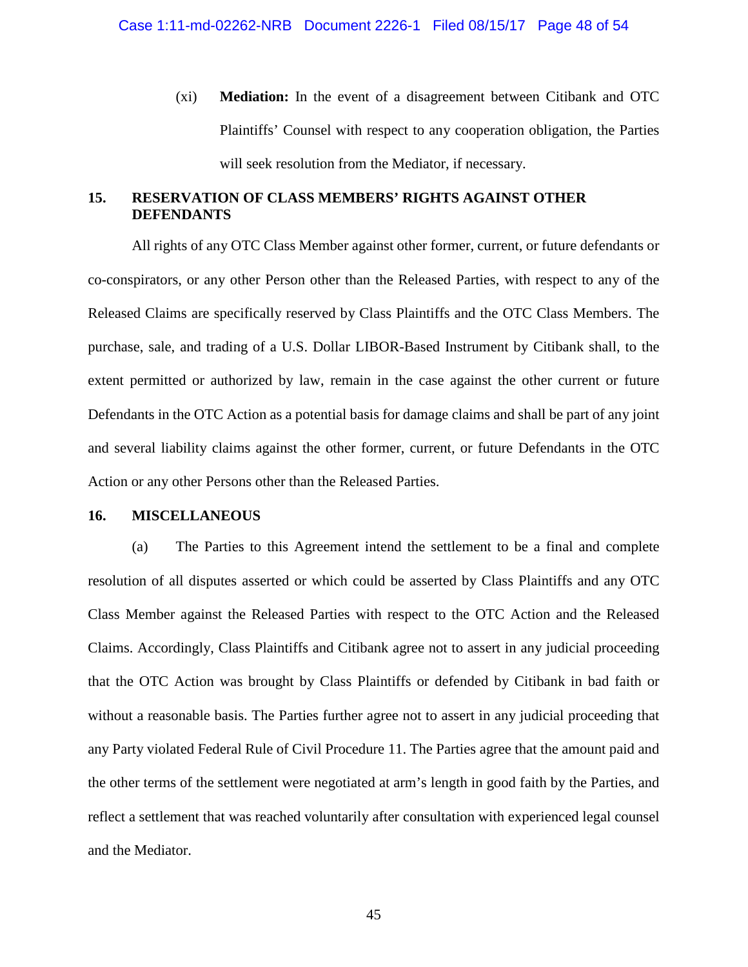(xi) **Mediation:** In the event of a disagreement between Citibank and OTC Plaintiffs' Counsel with respect to any cooperation obligation, the Parties will seek resolution from the Mediator, if necessary.

# <span id="page-46-0"></span>**15. RESERVATION OF CLASS MEMBERS' RIGHTS AGAINST OTHER DEFENDANTS**

All rights of any OTC Class Member against other former, current, or future defendants or co-conspirators, or any other Person other than the Released Parties, with respect to any of the Released Claims are specifically reserved by Class Plaintiffs and the OTC Class Members. The purchase, sale, and trading of a U.S. Dollar LIBOR-Based Instrument by Citibank shall, to the extent permitted or authorized by law, remain in the case against the other current or future Defendants in the OTC Action as a potential basis for damage claims and shall be part of any joint and several liability claims against the other former, current, or future Defendants in the OTC Action or any other Persons other than the Released Parties.

### <span id="page-46-1"></span>**16. MISCELLANEOUS**

(a) The Parties to this Agreement intend the settlement to be a final and complete resolution of all disputes asserted or which could be asserted by Class Plaintiffs and any OTC Class Member against the Released Parties with respect to the OTC Action and the Released Claims. Accordingly, Class Plaintiffs and Citibank agree not to assert in any judicial proceeding that the OTC Action was brought by Class Plaintiffs or defended by Citibank in bad faith or without a reasonable basis. The Parties further agree not to assert in any judicial proceeding that any Party violated Federal Rule of Civil Procedure 11. The Parties agree that the amount paid and the other terms of the settlement were negotiated at arm's length in good faith by the Parties, and reflect a settlement that was reached voluntarily after consultation with experienced legal counsel and the Mediator.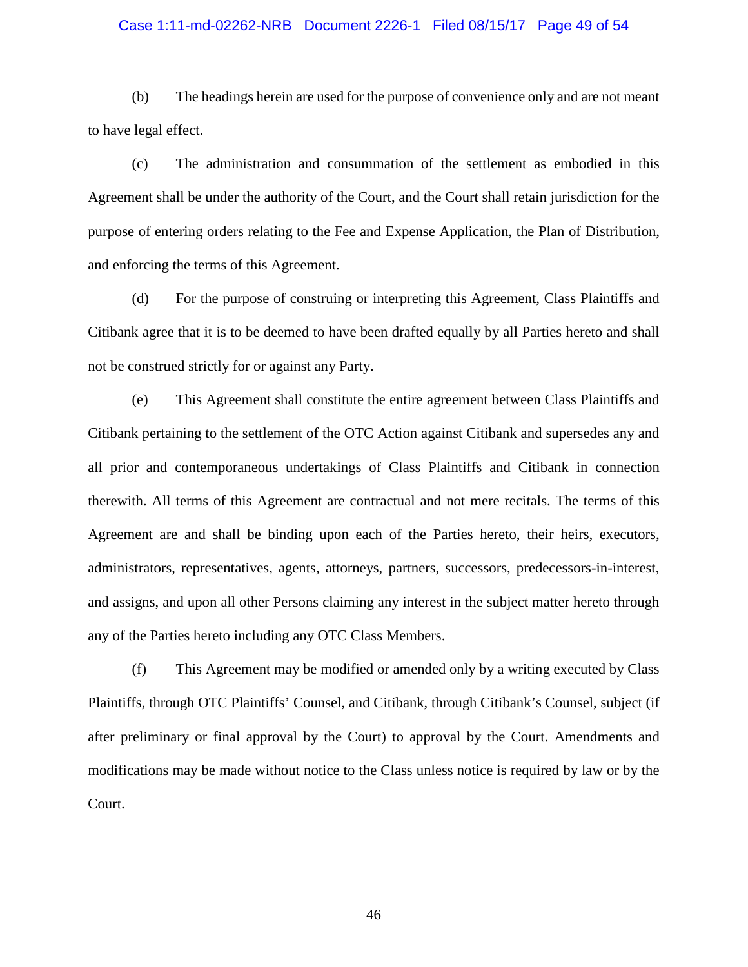# Case 1:11-md-02262-NRB Document 2226-1 Filed 08/15/17 Page 49 of 54

(b) The headings herein are used for the purpose of convenience only and are not meant to have legal effect.

(c) The administration and consummation of the settlement as embodied in this Agreement shall be under the authority of the Court, and the Court shall retain jurisdiction for the purpose of entering orders relating to the Fee and Expense Application, the Plan of Distribution, and enforcing the terms of this Agreement.

(d) For the purpose of construing or interpreting this Agreement, Class Plaintiffs and Citibank agree that it is to be deemed to have been drafted equally by all Parties hereto and shall not be construed strictly for or against any Party.

(e) This Agreement shall constitute the entire agreement between Class Plaintiffs and Citibank pertaining to the settlement of the OTC Action against Citibank and supersedes any and all prior and contemporaneous undertakings of Class Plaintiffs and Citibank in connection therewith. All terms of this Agreement are contractual and not mere recitals. The terms of this Agreement are and shall be binding upon each of the Parties hereto, their heirs, executors, administrators, representatives, agents, attorneys, partners, successors, predecessors-in-interest, and assigns, and upon all other Persons claiming any interest in the subject matter hereto through any of the Parties hereto including any OTC Class Members.

(f) This Agreement may be modified or amended only by a writing executed by Class Plaintiffs, through OTC Plaintiffs' Counsel, and Citibank, through Citibank's Counsel, subject (if after preliminary or final approval by the Court) to approval by the Court. Amendments and modifications may be made without notice to the Class unless notice is required by law or by the Court.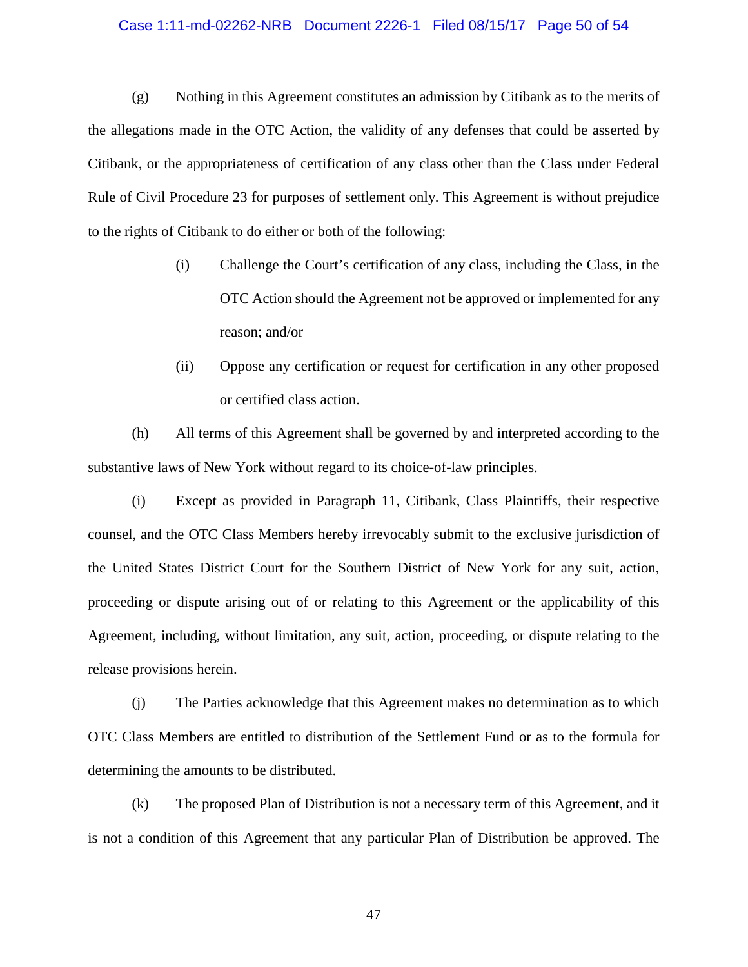# Case 1:11-md-02262-NRB Document 2226-1 Filed 08/15/17 Page 50 of 54

(g) Nothing in this Agreement constitutes an admission by Citibank as to the merits of the allegations made in the OTC Action, the validity of any defenses that could be asserted by Citibank, or the appropriateness of certification of any class other than the Class under Federal Rule of Civil Procedure 23 for purposes of settlement only. This Agreement is without prejudice to the rights of Citibank to do either or both of the following:

- (i) Challenge the Court's certification of any class, including the Class, in the OTC Action should the Agreement not be approved or implemented for any reason; and/or
- (ii) Oppose any certification or request for certification in any other proposed or certified class action.

(h) All terms of this Agreement shall be governed by and interpreted according to the substantive laws of New York without regard to its choice-of-law principles.

(i) Except as provided in Paragraph 11, Citibank, Class Plaintiffs, their respective counsel, and the OTC Class Members hereby irrevocably submit to the exclusive jurisdiction of the United States District Court for the Southern District of New York for any suit, action, proceeding or dispute arising out of or relating to this Agreement or the applicability of this Agreement, including, without limitation, any suit, action, proceeding, or dispute relating to the release provisions herein.

(j) The Parties acknowledge that this Agreement makes no determination as to which OTC Class Members are entitled to distribution of the Settlement Fund or as to the formula for determining the amounts to be distributed.

(k) The proposed Plan of Distribution is not a necessary term of this Agreement, and it is not a condition of this Agreement that any particular Plan of Distribution be approved. The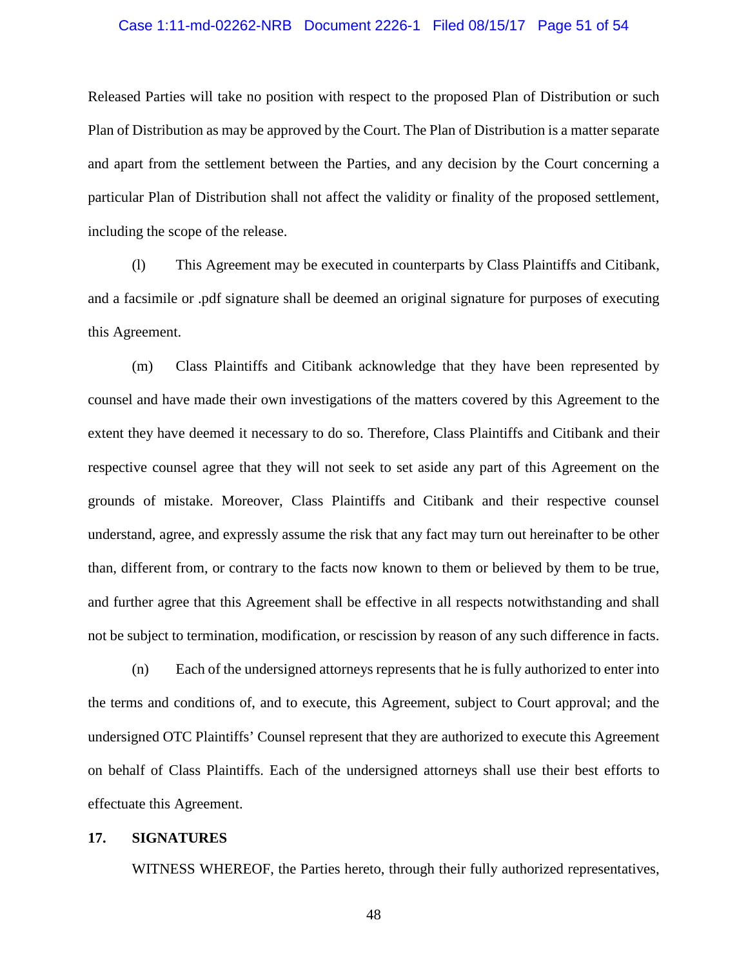# Case 1:11-md-02262-NRB Document 2226-1 Filed 08/15/17 Page 51 of 54

Released Parties will take no position with respect to the proposed Plan of Distribution or such Plan of Distribution as may be approved by the Court. The Plan of Distribution is a matter separate and apart from the settlement between the Parties, and any decision by the Court concerning a particular Plan of Distribution shall not affect the validity or finality of the proposed settlement, including the scope of the release.

(l) This Agreement may be executed in counterparts by Class Plaintiffs and Citibank, and a facsimile or .pdf signature shall be deemed an original signature for purposes of executing this Agreement.

(m) Class Plaintiffs and Citibank acknowledge that they have been represented by counsel and have made their own investigations of the matters covered by this Agreement to the extent they have deemed it necessary to do so. Therefore, Class Plaintiffs and Citibank and their respective counsel agree that they will not seek to set aside any part of this Agreement on the grounds of mistake. Moreover, Class Plaintiffs and Citibank and their respective counsel understand, agree, and expressly assume the risk that any fact may turn out hereinafter to be other than, different from, or contrary to the facts now known to them or believed by them to be true, and further agree that this Agreement shall be effective in all respects notwithstanding and shall not be subject to termination, modification, or rescission by reason of any such difference in facts.

(n) Each of the undersigned attorneys represents that he is fully authorized to enter into the terms and conditions of, and to execute, this Agreement, subject to Court approval; and the undersigned OTC Plaintiffs' Counsel represent that they are authorized to execute this Agreement on behalf of Class Plaintiffs. Each of the undersigned attorneys shall use their best efforts to effectuate this Agreement.

#### <span id="page-49-0"></span>**17. SIGNATURES**

WITNESS WHEREOF, the Parties hereto, through their fully authorized representatives,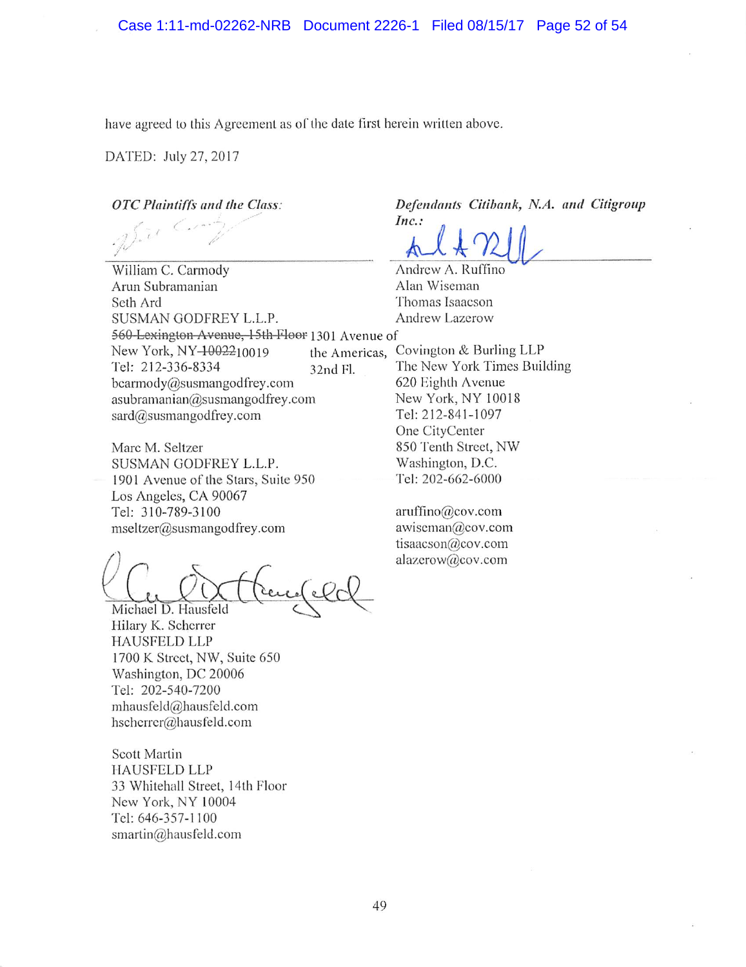have agreed to this Agreement as of the date first herein written above.

DATED; July 27, 2017

OTC Plaintiffs and the Class:

William C. Carmody Arun Subramanian Scth Ard SUSMAN GODFREY L.L.P. New York, NY-1002210019 Tel: 212-336-8334 bcarmody@susmangodfrey.com asubramanian@susmangodfrey.com sard@susmangodfrey.com 560 Lexington Avenue, 15th Floor 1301 Avenue of

Marc M. Seltzer SUSMAN GODFREY L.L.P. 1901 Avenue of the Stars, Suite 950 Los Angeles, CA 90067 Tel: 310-789-3100 mseItzer@susmangodfrey.com

Michael D. Hausfeld

Hilary K. Scherrer HAUSFELD LLP 1700 K Street, NW, Suite 650 Washington, DC 20006 Tel: 202-540-7200 mhausfeld@hausfeld.com hscherrer@hausfeld.com

Scott Martin HAUSFELD LLP 33 Whitehall Street, 14th Floor New York, NY 10004 Tel: 646-357-1100 smartin@hausfeld.com

Defendants Citibank, N.A. and Citigroup

Inc.:  $AL4V2U$ 

A ndrew A. Ruffino Alan Wiseman Thomas Isaacson **Andrew Lazerow** 

the Americas, Covington & Burling LLP<br>32nd Fl. The New York Times Buil The New York Times Building 620 Eighth Avenue New York, NY 10018 Tel: 212-841-1097 One CityCenter 850 Tenth Street, NW Washington, D.C. Tel: 202-662-6000

> aruffino@cov.com awiscman@cov.com tisaacson@cov.com alazcrow@cov.com